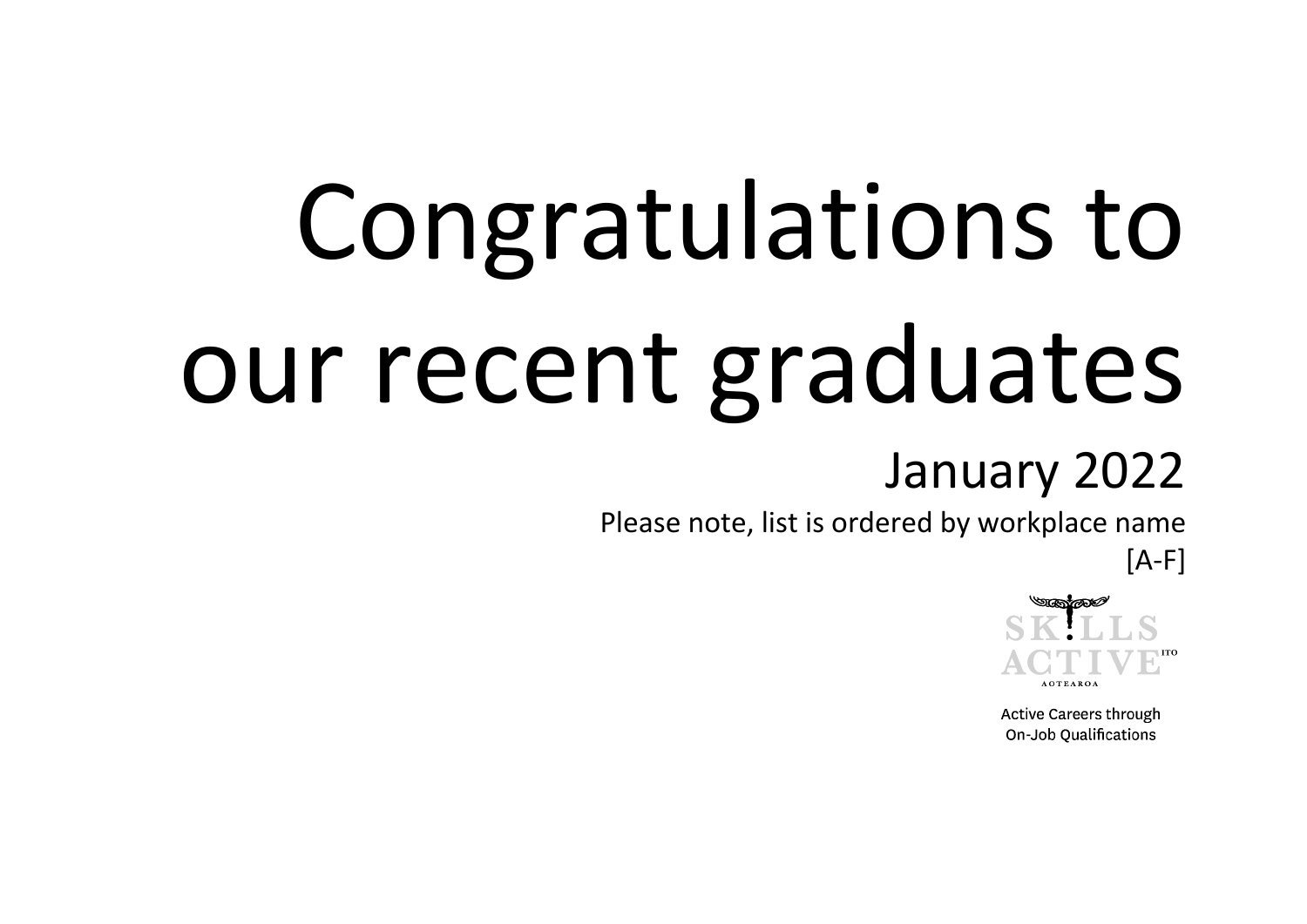## Congratulations to our recent graduates

## January 2022

Please note, list is ordered by workplace name

 $[A-F]$ 



**Active Careers through** On-Job Qualifications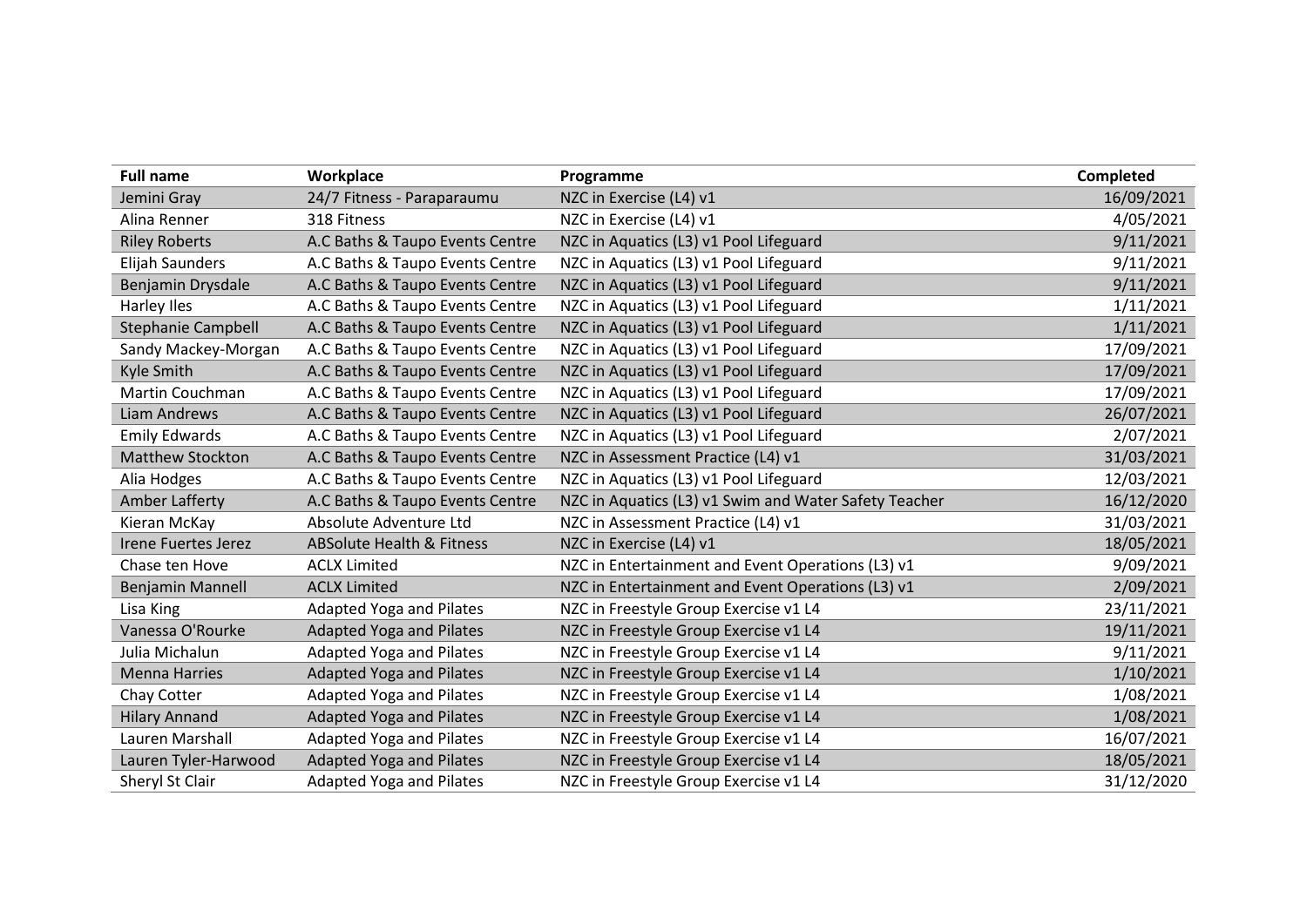| <b>Full name</b>           | Workplace                            | Programme                                             | <b>Completed</b> |
|----------------------------|--------------------------------------|-------------------------------------------------------|------------------|
| Jemini Gray                | 24/7 Fitness - Paraparaumu           | NZC in Exercise (L4) v1                               | 16/09/2021       |
| Alina Renner               | 318 Fitness                          | NZC in Exercise (L4) v1                               | 4/05/2021        |
| <b>Riley Roberts</b>       | A.C Baths & Taupo Events Centre      | NZC in Aquatics (L3) v1 Pool Lifeguard                | 9/11/2021        |
| Elijah Saunders            | A.C Baths & Taupo Events Centre      | NZC in Aquatics (L3) v1 Pool Lifeguard                | 9/11/2021        |
| Benjamin Drysdale          | A.C Baths & Taupo Events Centre      | NZC in Aquatics (L3) v1 Pool Lifeguard                | 9/11/2021        |
| <b>Harley Iles</b>         | A.C Baths & Taupo Events Centre      | NZC in Aquatics (L3) v1 Pool Lifeguard                | 1/11/2021        |
| <b>Stephanie Campbell</b>  | A.C Baths & Taupo Events Centre      | NZC in Aquatics (L3) v1 Pool Lifeguard                | 1/11/2021        |
| Sandy Mackey-Morgan        | A.C Baths & Taupo Events Centre      | NZC in Aquatics (L3) v1 Pool Lifeguard                | 17/09/2021       |
| Kyle Smith                 | A.C Baths & Taupo Events Centre      | NZC in Aquatics (L3) v1 Pool Lifeguard                | 17/09/2021       |
| Martin Couchman            | A.C Baths & Taupo Events Centre      | NZC in Aquatics (L3) v1 Pool Lifeguard                | 17/09/2021       |
| Liam Andrews               | A.C Baths & Taupo Events Centre      | NZC in Aquatics (L3) v1 Pool Lifeguard                | 26/07/2021       |
| <b>Emily Edwards</b>       | A.C Baths & Taupo Events Centre      | NZC in Aquatics (L3) v1 Pool Lifeguard                | 2/07/2021        |
| <b>Matthew Stockton</b>    | A.C Baths & Taupo Events Centre      | NZC in Assessment Practice (L4) v1                    | 31/03/2021       |
| Alia Hodges                | A.C Baths & Taupo Events Centre      | NZC in Aquatics (L3) v1 Pool Lifeguard                | 12/03/2021       |
| Amber Lafferty             | A.C Baths & Taupo Events Centre      | NZC in Aquatics (L3) v1 Swim and Water Safety Teacher | 16/12/2020       |
| Kieran McKay               | Absolute Adventure Ltd               | NZC in Assessment Practice (L4) v1                    | 31/03/2021       |
| <b>Irene Fuertes Jerez</b> | <b>ABSolute Health &amp; Fitness</b> | NZC in Exercise (L4) v1                               | 18/05/2021       |
| Chase ten Hove             | <b>ACLX Limited</b>                  | NZC in Entertainment and Event Operations (L3) v1     | 9/09/2021        |
| <b>Benjamin Mannell</b>    | <b>ACLX Limited</b>                  | NZC in Entertainment and Event Operations (L3) v1     | 2/09/2021        |
| Lisa King                  | <b>Adapted Yoga and Pilates</b>      | NZC in Freestyle Group Exercise v1 L4                 | 23/11/2021       |
| Vanessa O'Rourke           | <b>Adapted Yoga and Pilates</b>      | NZC in Freestyle Group Exercise v1 L4                 | 19/11/2021       |
| Julia Michalun             | <b>Adapted Yoga and Pilates</b>      | NZC in Freestyle Group Exercise v1 L4                 | 9/11/2021        |
| <b>Menna Harries</b>       | <b>Adapted Yoga and Pilates</b>      | NZC in Freestyle Group Exercise v1 L4                 | 1/10/2021        |
| Chay Cotter                | Adapted Yoga and Pilates             | NZC in Freestyle Group Exercise v1 L4                 | 1/08/2021        |
| <b>Hilary Annand</b>       | <b>Adapted Yoga and Pilates</b>      | NZC in Freestyle Group Exercise v1 L4                 | 1/08/2021        |
| Lauren Marshall            | <b>Adapted Yoga and Pilates</b>      | NZC in Freestyle Group Exercise v1 L4                 | 16/07/2021       |
| Lauren Tyler-Harwood       | <b>Adapted Yoga and Pilates</b>      | NZC in Freestyle Group Exercise v1 L4                 | 18/05/2021       |
| Sheryl St Clair            | <b>Adapted Yoga and Pilates</b>      | NZC in Freestyle Group Exercise v1 L4                 | 31/12/2020       |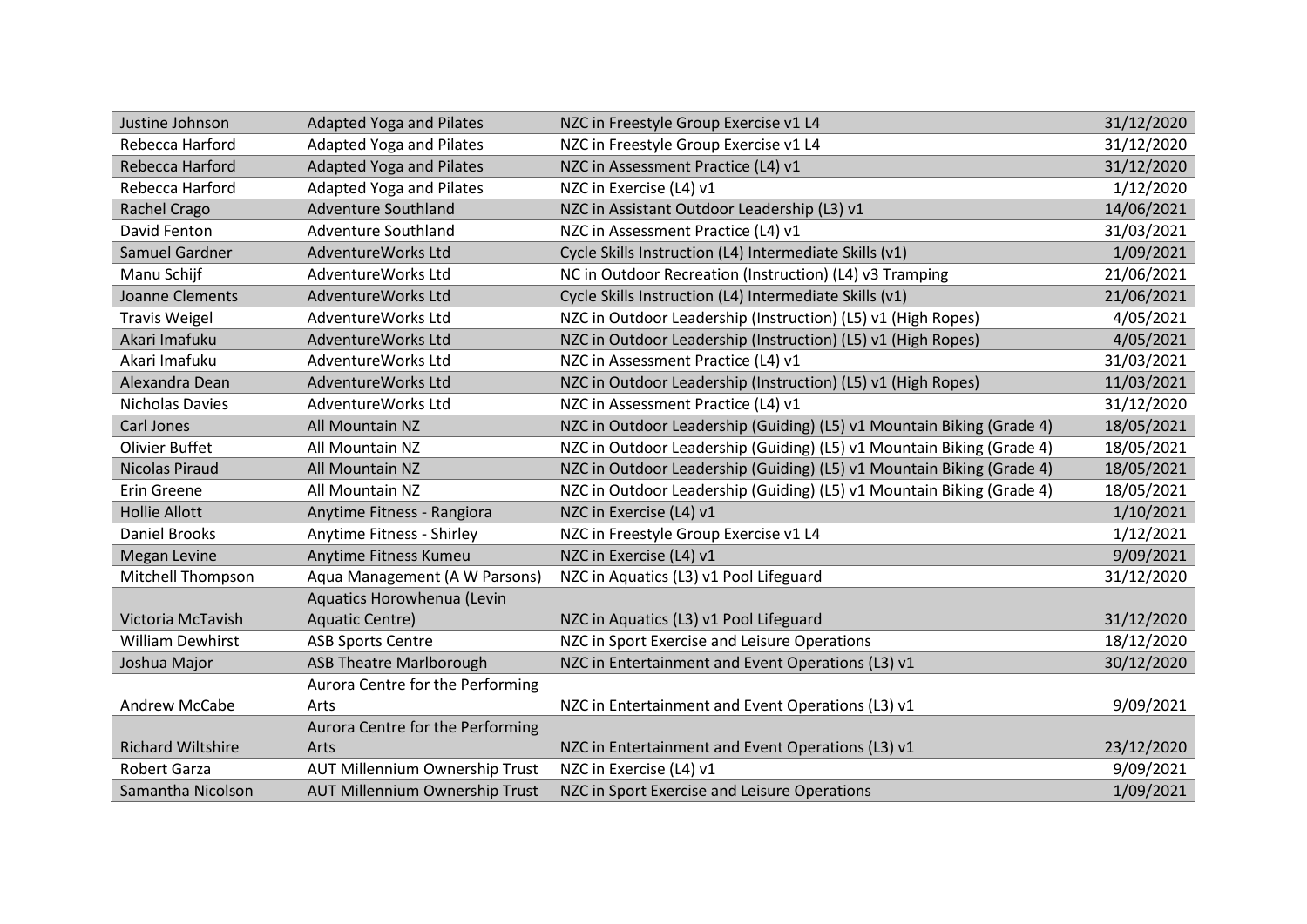| Justine Johnson          | <b>Adapted Yoga and Pilates</b>  | NZC in Freestyle Group Exercise v1 L4                                 | 31/12/2020 |
|--------------------------|----------------------------------|-----------------------------------------------------------------------|------------|
| Rebecca Harford          | <b>Adapted Yoga and Pilates</b>  | NZC in Freestyle Group Exercise v1 L4                                 | 31/12/2020 |
| Rebecca Harford          | <b>Adapted Yoga and Pilates</b>  | NZC in Assessment Practice (L4) v1                                    | 31/12/2020 |
| Rebecca Harford          | <b>Adapted Yoga and Pilates</b>  | NZC in Exercise (L4) v1                                               | 1/12/2020  |
| Rachel Crago             | <b>Adventure Southland</b>       | NZC in Assistant Outdoor Leadership (L3) v1                           | 14/06/2021 |
| David Fenton             | <b>Adventure Southland</b>       | NZC in Assessment Practice (L4) v1                                    | 31/03/2021 |
| Samuel Gardner           | AdventureWorks Ltd               | Cycle Skills Instruction (L4) Intermediate Skills (v1)                | 1/09/2021  |
| Manu Schijf              | AdventureWorks Ltd               | NC in Outdoor Recreation (Instruction) (L4) v3 Tramping               | 21/06/2021 |
| Joanne Clements          | AdventureWorks Ltd               | Cycle Skills Instruction (L4) Intermediate Skills (v1)                | 21/06/2021 |
| <b>Travis Weigel</b>     | AdventureWorks Ltd               | NZC in Outdoor Leadership (Instruction) (L5) v1 (High Ropes)          | 4/05/2021  |
| Akari Imafuku            | AdventureWorks Ltd               | NZC in Outdoor Leadership (Instruction) (L5) v1 (High Ropes)          | 4/05/2021  |
| Akari Imafuku            | AdventureWorks Ltd               | NZC in Assessment Practice (L4) v1                                    | 31/03/2021 |
| Alexandra Dean           | AdventureWorks Ltd               | NZC in Outdoor Leadership (Instruction) (L5) v1 (High Ropes)          | 11/03/2021 |
| <b>Nicholas Davies</b>   | AdventureWorks Ltd               | NZC in Assessment Practice (L4) v1                                    | 31/12/2020 |
| Carl Jones               | All Mountain NZ                  | NZC in Outdoor Leadership (Guiding) (L5) v1 Mountain Biking (Grade 4) | 18/05/2021 |
| <b>Olivier Buffet</b>    | All Mountain NZ                  | NZC in Outdoor Leadership (Guiding) (L5) v1 Mountain Biking (Grade 4) | 18/05/2021 |
| <b>Nicolas Piraud</b>    | All Mountain NZ                  | NZC in Outdoor Leadership (Guiding) (L5) v1 Mountain Biking (Grade 4) | 18/05/2021 |
| Erin Greene              | <b>All Mountain NZ</b>           | NZC in Outdoor Leadership (Guiding) (L5) v1 Mountain Biking (Grade 4) | 18/05/2021 |
| <b>Hollie Allott</b>     | Anytime Fitness - Rangiora       | NZC in Exercise (L4) v1                                               | 1/10/2021  |
| <b>Daniel Brooks</b>     | Anytime Fitness - Shirley        | NZC in Freestyle Group Exercise v1 L4                                 | 1/12/2021  |
| <b>Megan Levine</b>      | Anytime Fitness Kumeu            | NZC in Exercise (L4) v1                                               | 9/09/2021  |
| Mitchell Thompson        | Aqua Management (A W Parsons)    | NZC in Aquatics (L3) v1 Pool Lifeguard                                | 31/12/2020 |
|                          | Aquatics Horowhenua (Levin       |                                                                       |            |
| Victoria McTavish        | Aquatic Centre)                  | NZC in Aquatics (L3) v1 Pool Lifeguard                                | 31/12/2020 |
| <b>William Dewhirst</b>  | <b>ASB Sports Centre</b>         | NZC in Sport Exercise and Leisure Operations                          | 18/12/2020 |
| Joshua Major             | <b>ASB Theatre Marlborough</b>   | NZC in Entertainment and Event Operations (L3) v1                     | 30/12/2020 |
|                          | Aurora Centre for the Performing |                                                                       |            |
| Andrew McCabe            | Arts                             | NZC in Entertainment and Event Operations (L3) v1                     | 9/09/2021  |
|                          | Aurora Centre for the Performing |                                                                       |            |
| <b>Richard Wiltshire</b> | Arts                             | NZC in Entertainment and Event Operations (L3) v1                     | 23/12/2020 |
| <b>Robert Garza</b>      | AUT Millennium Ownership Trust   | NZC in Exercise (L4) v1                                               | 9/09/2021  |
| Samantha Nicolson        | AUT Millennium Ownership Trust   | NZC in Sport Exercise and Leisure Operations                          | 1/09/2021  |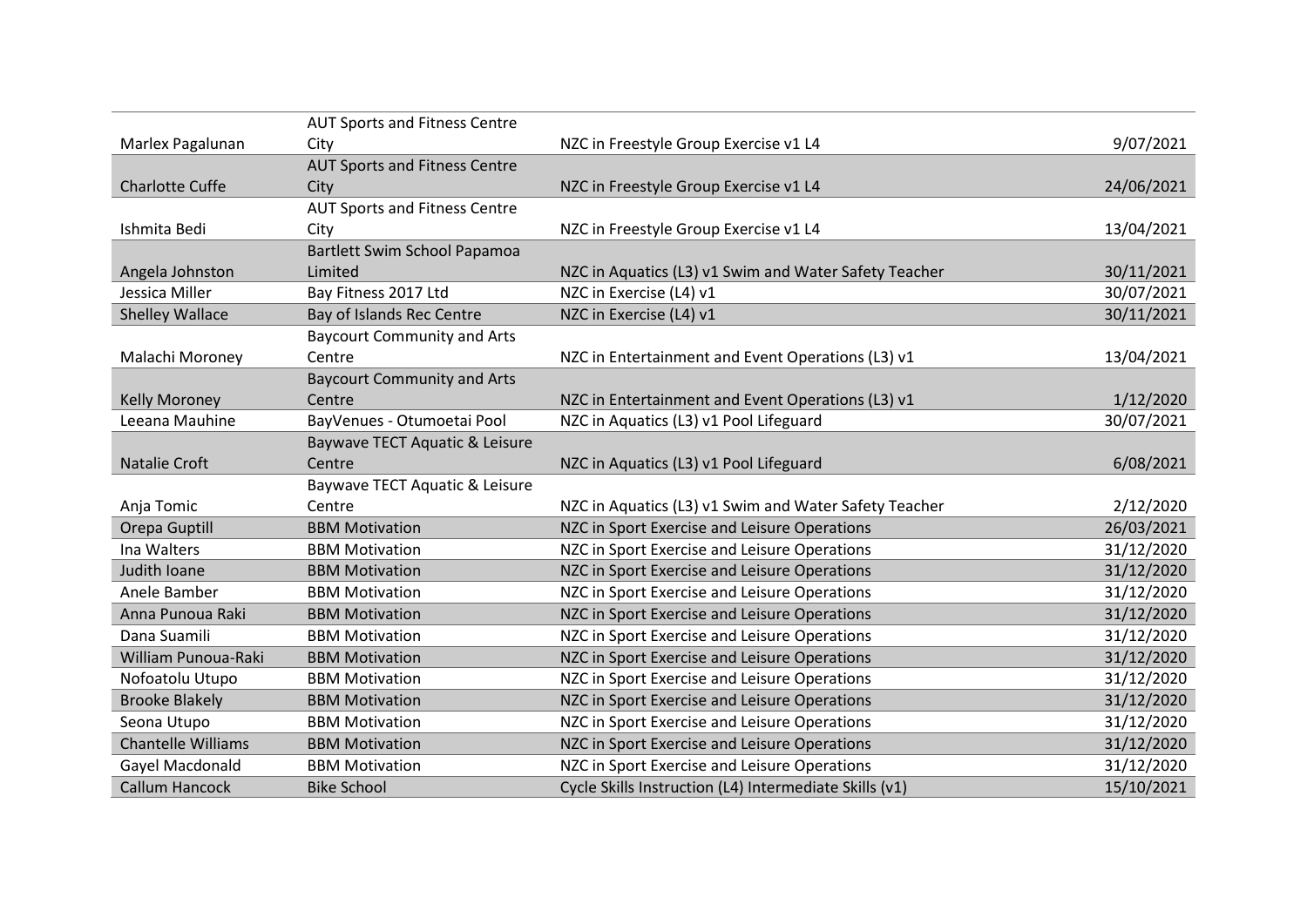|                           | <b>AUT Sports and Fitness Centre</b> |                                                        |            |
|---------------------------|--------------------------------------|--------------------------------------------------------|------------|
| Marlex Pagalunan          | City                                 | NZC in Freestyle Group Exercise v1 L4                  | 9/07/2021  |
|                           | <b>AUT Sports and Fitness Centre</b> |                                                        |            |
| Charlotte Cuffe           | City                                 | NZC in Freestyle Group Exercise v1 L4                  | 24/06/2021 |
|                           | <b>AUT Sports and Fitness Centre</b> |                                                        |            |
| Ishmita Bedi              | City                                 | NZC in Freestyle Group Exercise v1 L4                  | 13/04/2021 |
|                           | Bartlett Swim School Papamoa         |                                                        |            |
| Angela Johnston           | Limited                              | NZC in Aquatics (L3) v1 Swim and Water Safety Teacher  | 30/11/2021 |
| Jessica Miller            | Bay Fitness 2017 Ltd                 | NZC in Exercise (L4) v1                                | 30/07/2021 |
| <b>Shelley Wallace</b>    | Bay of Islands Rec Centre            | NZC in Exercise (L4) v1                                | 30/11/2021 |
|                           | <b>Baycourt Community and Arts</b>   |                                                        |            |
| Malachi Moroney           | Centre                               | NZC in Entertainment and Event Operations (L3) v1      | 13/04/2021 |
|                           | <b>Baycourt Community and Arts</b>   |                                                        |            |
| <b>Kelly Moroney</b>      | Centre                               | NZC in Entertainment and Event Operations (L3) v1      | 1/12/2020  |
| Leeana Mauhine            | BayVenues - Otumoetai Pool           | NZC in Aquatics (L3) v1 Pool Lifeguard                 | 30/07/2021 |
|                           | Baywave TECT Aquatic & Leisure       |                                                        |            |
| Natalie Croft             | Centre                               | NZC in Aquatics (L3) v1 Pool Lifeguard                 | 6/08/2021  |
|                           | Baywave TECT Aquatic & Leisure       |                                                        |            |
| Anja Tomic                | Centre                               | NZC in Aquatics (L3) v1 Swim and Water Safety Teacher  | 2/12/2020  |
| Orepa Guptill             | <b>BBM Motivation</b>                | NZC in Sport Exercise and Leisure Operations           | 26/03/2021 |
| Ina Walters               | <b>BBM Motivation</b>                | NZC in Sport Exercise and Leisure Operations           | 31/12/2020 |
| Judith Ioane              | <b>BBM Motivation</b>                | NZC in Sport Exercise and Leisure Operations           | 31/12/2020 |
| Anele Bamber              | <b>BBM Motivation</b>                | NZC in Sport Exercise and Leisure Operations           | 31/12/2020 |
| Anna Punoua Raki          | <b>BBM Motivation</b>                | NZC in Sport Exercise and Leisure Operations           | 31/12/2020 |
| Dana Suamili              | <b>BBM Motivation</b>                | NZC in Sport Exercise and Leisure Operations           | 31/12/2020 |
| William Punoua-Raki       | <b>BBM Motivation</b>                | NZC in Sport Exercise and Leisure Operations           | 31/12/2020 |
| Nofoatolu Utupo           | <b>BBM Motivation</b>                | NZC in Sport Exercise and Leisure Operations           | 31/12/2020 |
| <b>Brooke Blakely</b>     | <b>BBM Motivation</b>                | NZC in Sport Exercise and Leisure Operations           | 31/12/2020 |
| Seona Utupo               | <b>BBM Motivation</b>                | NZC in Sport Exercise and Leisure Operations           | 31/12/2020 |
| <b>Chantelle Williams</b> | <b>BBM Motivation</b>                | NZC in Sport Exercise and Leisure Operations           | 31/12/2020 |
| Gayel Macdonald           | <b>BBM Motivation</b>                | NZC in Sport Exercise and Leisure Operations           | 31/12/2020 |
| Callum Hancock            | <b>Bike School</b>                   | Cycle Skills Instruction (L4) Intermediate Skills (v1) | 15/10/2021 |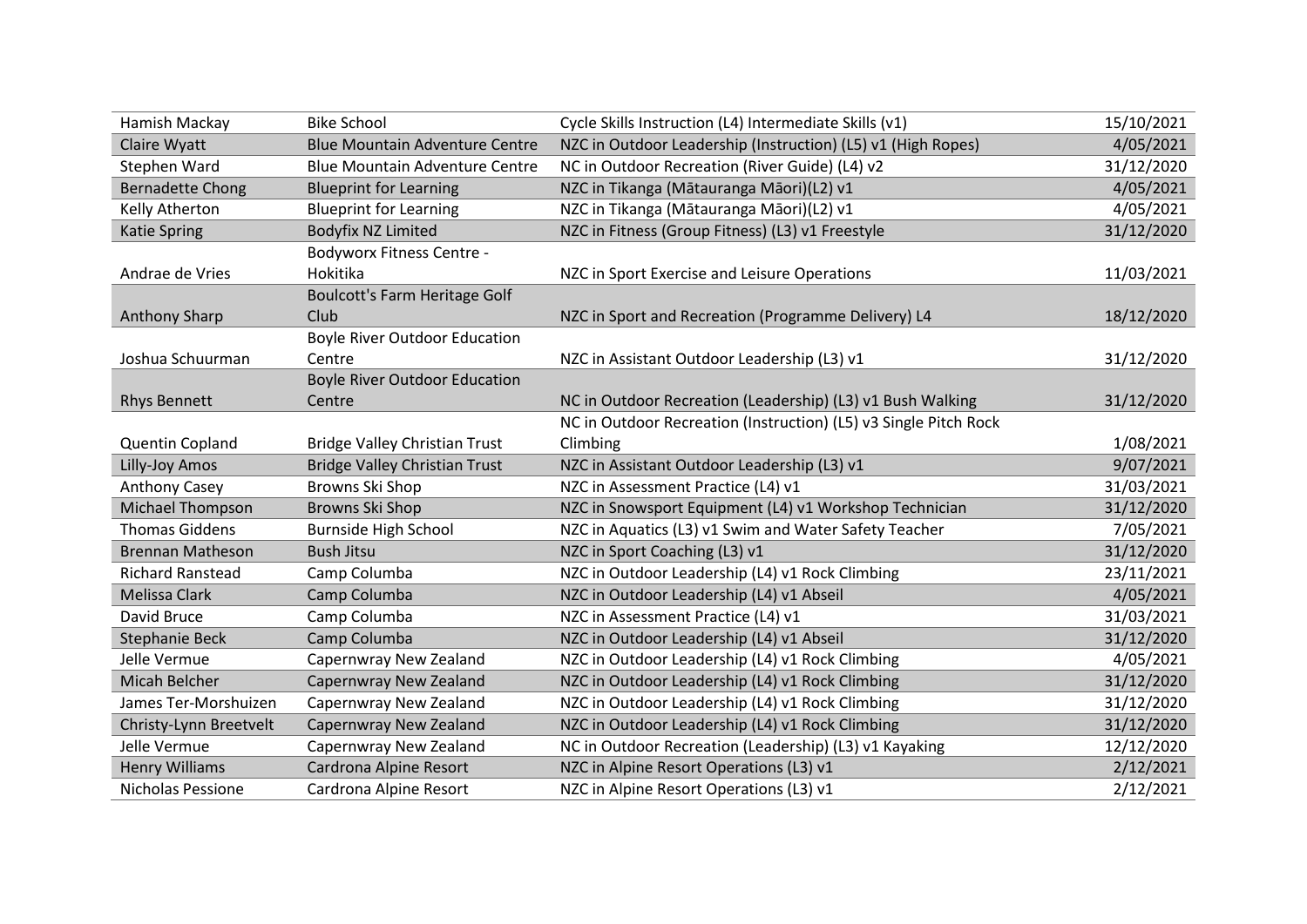| Hamish Mackay           | <b>Bike School</b>                    | Cycle Skills Instruction (L4) Intermediate Skills (v1)           | 15/10/2021 |
|-------------------------|---------------------------------------|------------------------------------------------------------------|------------|
| Claire Wyatt            | <b>Blue Mountain Adventure Centre</b> | NZC in Outdoor Leadership (Instruction) (L5) v1 (High Ropes)     | 4/05/2021  |
| Stephen Ward            | <b>Blue Mountain Adventure Centre</b> | NC in Outdoor Recreation (River Guide) (L4) v2                   | 31/12/2020 |
| <b>Bernadette Chong</b> | <b>Blueprint for Learning</b>         | NZC in Tikanga (Mātauranga Māori)(L2) v1                         | 4/05/2021  |
| Kelly Atherton          | <b>Blueprint for Learning</b>         | NZC in Tikanga (Mātauranga Māori)(L2) v1                         | 4/05/2021  |
| <b>Katie Spring</b>     | <b>Bodyfix NZ Limited</b>             | NZC in Fitness (Group Fitness) (L3) v1 Freestyle                 | 31/12/2020 |
|                         | <b>Bodyworx Fitness Centre -</b>      |                                                                  |            |
| Andrae de Vries         | Hokitika                              | NZC in Sport Exercise and Leisure Operations                     | 11/03/2021 |
|                         | Boulcott's Farm Heritage Golf         |                                                                  |            |
| <b>Anthony Sharp</b>    | Club                                  | NZC in Sport and Recreation (Programme Delivery) L4              | 18/12/2020 |
|                         | <b>Boyle River Outdoor Education</b>  |                                                                  |            |
| Joshua Schuurman        | Centre                                | NZC in Assistant Outdoor Leadership (L3) v1                      | 31/12/2020 |
|                         | <b>Boyle River Outdoor Education</b>  |                                                                  |            |
| <b>Rhys Bennett</b>     | Centre                                | NC in Outdoor Recreation (Leadership) (L3) v1 Bush Walking       | 31/12/2020 |
|                         |                                       | NC in Outdoor Recreation (Instruction) (L5) v3 Single Pitch Rock |            |
| Quentin Copland         | <b>Bridge Valley Christian Trust</b>  | Climbing                                                         | 1/08/2021  |
| Lilly-Joy Amos          | <b>Bridge Valley Christian Trust</b>  | NZC in Assistant Outdoor Leadership (L3) v1                      | 9/07/2021  |
| Anthony Casey           | Browns Ski Shop                       | NZC in Assessment Practice (L4) v1                               | 31/03/2021 |
| Michael Thompson        | <b>Browns Ski Shop</b>                | NZC in Snowsport Equipment (L4) v1 Workshop Technician           | 31/12/2020 |
| <b>Thomas Giddens</b>   | <b>Burnside High School</b>           | NZC in Aquatics (L3) v1 Swim and Water Safety Teacher            | 7/05/2021  |
| <b>Brennan Matheson</b> | <b>Bush Jitsu</b>                     | NZC in Sport Coaching (L3) v1                                    | 31/12/2020 |
| <b>Richard Ranstead</b> | Camp Columba                          | NZC in Outdoor Leadership (L4) v1 Rock Climbing                  | 23/11/2021 |
| Melissa Clark           | Camp Columba                          | NZC in Outdoor Leadership (L4) v1 Abseil                         | 4/05/2021  |
| David Bruce             | Camp Columba                          | NZC in Assessment Practice (L4) v1                               | 31/03/2021 |
| Stephanie Beck          | Camp Columba                          | NZC in Outdoor Leadership (L4) v1 Abseil                         | 31/12/2020 |
| Jelle Vermue            | Capernwray New Zealand                | NZC in Outdoor Leadership (L4) v1 Rock Climbing                  | 4/05/2021  |
| Micah Belcher           | Capernwray New Zealand                | NZC in Outdoor Leadership (L4) v1 Rock Climbing                  | 31/12/2020 |
| James Ter-Morshuizen    | Capernwray New Zealand                | NZC in Outdoor Leadership (L4) v1 Rock Climbing                  | 31/12/2020 |
| Christy-Lynn Breetvelt  | Capernwray New Zealand                | NZC in Outdoor Leadership (L4) v1 Rock Climbing                  | 31/12/2020 |
| Jelle Vermue            | Capernwray New Zealand                | NC in Outdoor Recreation (Leadership) (L3) v1 Kayaking           | 12/12/2020 |
| <b>Henry Williams</b>   | Cardrona Alpine Resort                | NZC in Alpine Resort Operations (L3) v1                          | 2/12/2021  |
| Nicholas Pessione       | Cardrona Alpine Resort                | NZC in Alpine Resort Operations (L3) v1                          | 2/12/2021  |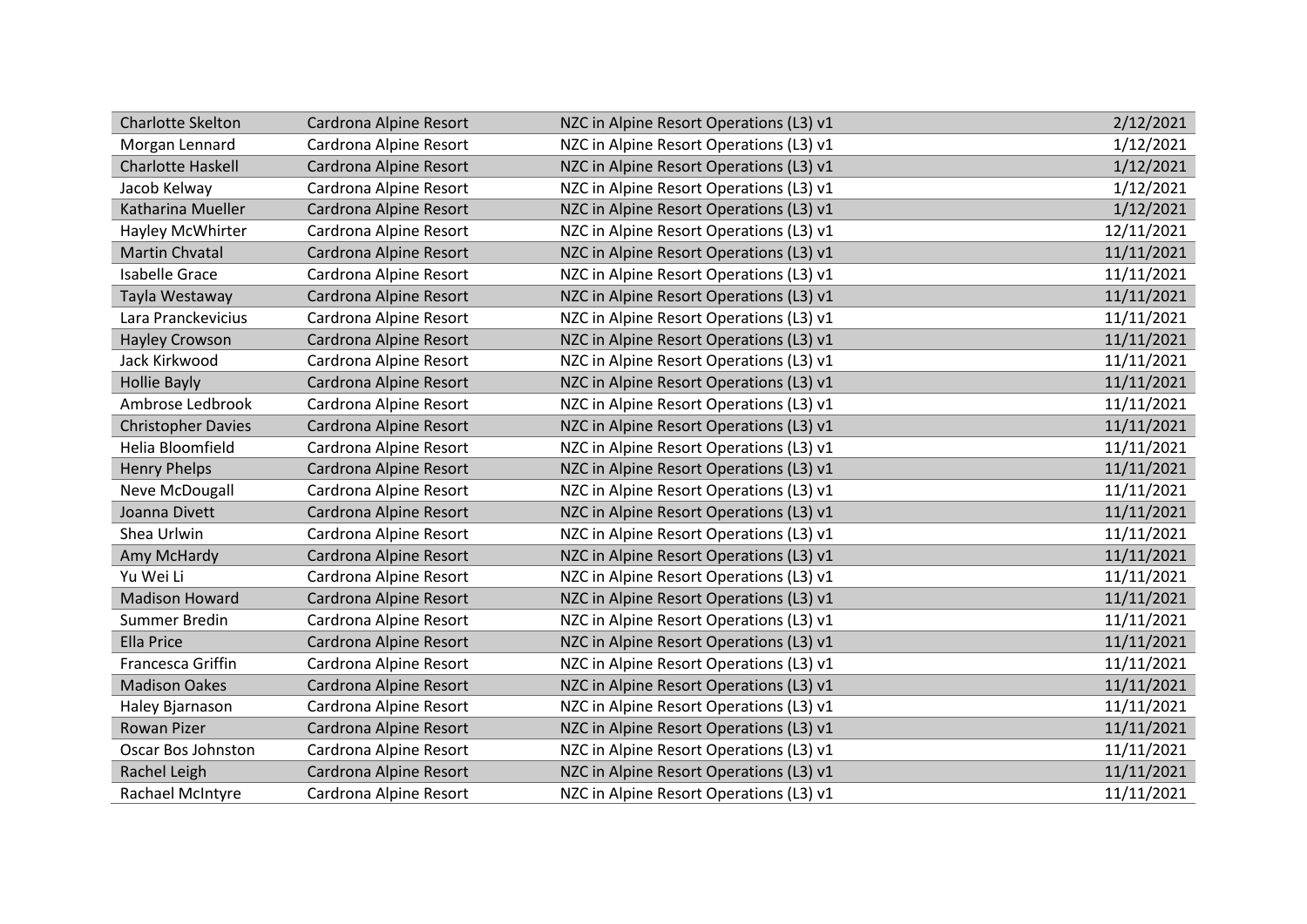| <b>Charlotte Skelton</b>  | Cardrona Alpine Resort | NZC in Alpine Resort Operations (L3) v1 | 2/12/2021  |
|---------------------------|------------------------|-----------------------------------------|------------|
| Morgan Lennard            | Cardrona Alpine Resort | NZC in Alpine Resort Operations (L3) v1 | 1/12/2021  |
| <b>Charlotte Haskell</b>  | Cardrona Alpine Resort | NZC in Alpine Resort Operations (L3) v1 | 1/12/2021  |
| Jacob Kelway              | Cardrona Alpine Resort | NZC in Alpine Resort Operations (L3) v1 | 1/12/2021  |
| Katharina Mueller         | Cardrona Alpine Resort | NZC in Alpine Resort Operations (L3) v1 | 1/12/2021  |
| Hayley McWhirter          | Cardrona Alpine Resort | NZC in Alpine Resort Operations (L3) v1 | 12/11/2021 |
| <b>Martin Chvatal</b>     | Cardrona Alpine Resort | NZC in Alpine Resort Operations (L3) v1 | 11/11/2021 |
| <b>Isabelle Grace</b>     | Cardrona Alpine Resort | NZC in Alpine Resort Operations (L3) v1 | 11/11/2021 |
| Tayla Westaway            | Cardrona Alpine Resort | NZC in Alpine Resort Operations (L3) v1 | 11/11/2021 |
| Lara Pranckevicius        | Cardrona Alpine Resort | NZC in Alpine Resort Operations (L3) v1 | 11/11/2021 |
| <b>Hayley Crowson</b>     | Cardrona Alpine Resort | NZC in Alpine Resort Operations (L3) v1 | 11/11/2021 |
| Jack Kirkwood             | Cardrona Alpine Resort | NZC in Alpine Resort Operations (L3) v1 | 11/11/2021 |
| <b>Hollie Bayly</b>       | Cardrona Alpine Resort | NZC in Alpine Resort Operations (L3) v1 | 11/11/2021 |
| Ambrose Ledbrook          | Cardrona Alpine Resort | NZC in Alpine Resort Operations (L3) v1 | 11/11/2021 |
| <b>Christopher Davies</b> | Cardrona Alpine Resort | NZC in Alpine Resort Operations (L3) v1 | 11/11/2021 |
| Helia Bloomfield          | Cardrona Alpine Resort | NZC in Alpine Resort Operations (L3) v1 | 11/11/2021 |
| <b>Henry Phelps</b>       | Cardrona Alpine Resort | NZC in Alpine Resort Operations (L3) v1 | 11/11/2021 |
| Neve McDougall            | Cardrona Alpine Resort | NZC in Alpine Resort Operations (L3) v1 | 11/11/2021 |
| Joanna Divett             | Cardrona Alpine Resort | NZC in Alpine Resort Operations (L3) v1 | 11/11/2021 |
| Shea Urlwin               | Cardrona Alpine Resort | NZC in Alpine Resort Operations (L3) v1 | 11/11/2021 |
| Amy McHardy               | Cardrona Alpine Resort | NZC in Alpine Resort Operations (L3) v1 | 11/11/2021 |
| Yu Wei Li                 | Cardrona Alpine Resort | NZC in Alpine Resort Operations (L3) v1 | 11/11/2021 |
| <b>Madison Howard</b>     | Cardrona Alpine Resort | NZC in Alpine Resort Operations (L3) v1 | 11/11/2021 |
| Summer Bredin             | Cardrona Alpine Resort | NZC in Alpine Resort Operations (L3) v1 | 11/11/2021 |
| <b>Ella Price</b>         | Cardrona Alpine Resort | NZC in Alpine Resort Operations (L3) v1 | 11/11/2021 |
| Francesca Griffin         | Cardrona Alpine Resort | NZC in Alpine Resort Operations (L3) v1 | 11/11/2021 |
| <b>Madison Oakes</b>      | Cardrona Alpine Resort | NZC in Alpine Resort Operations (L3) v1 | 11/11/2021 |
| Haley Bjarnason           | Cardrona Alpine Resort | NZC in Alpine Resort Operations (L3) v1 | 11/11/2021 |
| Rowan Pizer               | Cardrona Alpine Resort | NZC in Alpine Resort Operations (L3) v1 | 11/11/2021 |
| Oscar Bos Johnston        | Cardrona Alpine Resort | NZC in Alpine Resort Operations (L3) v1 | 11/11/2021 |
| Rachel Leigh              | Cardrona Alpine Resort | NZC in Alpine Resort Operations (L3) v1 | 11/11/2021 |
| Rachael McIntyre          | Cardrona Alpine Resort | NZC in Alpine Resort Operations (L3) v1 | 11/11/2021 |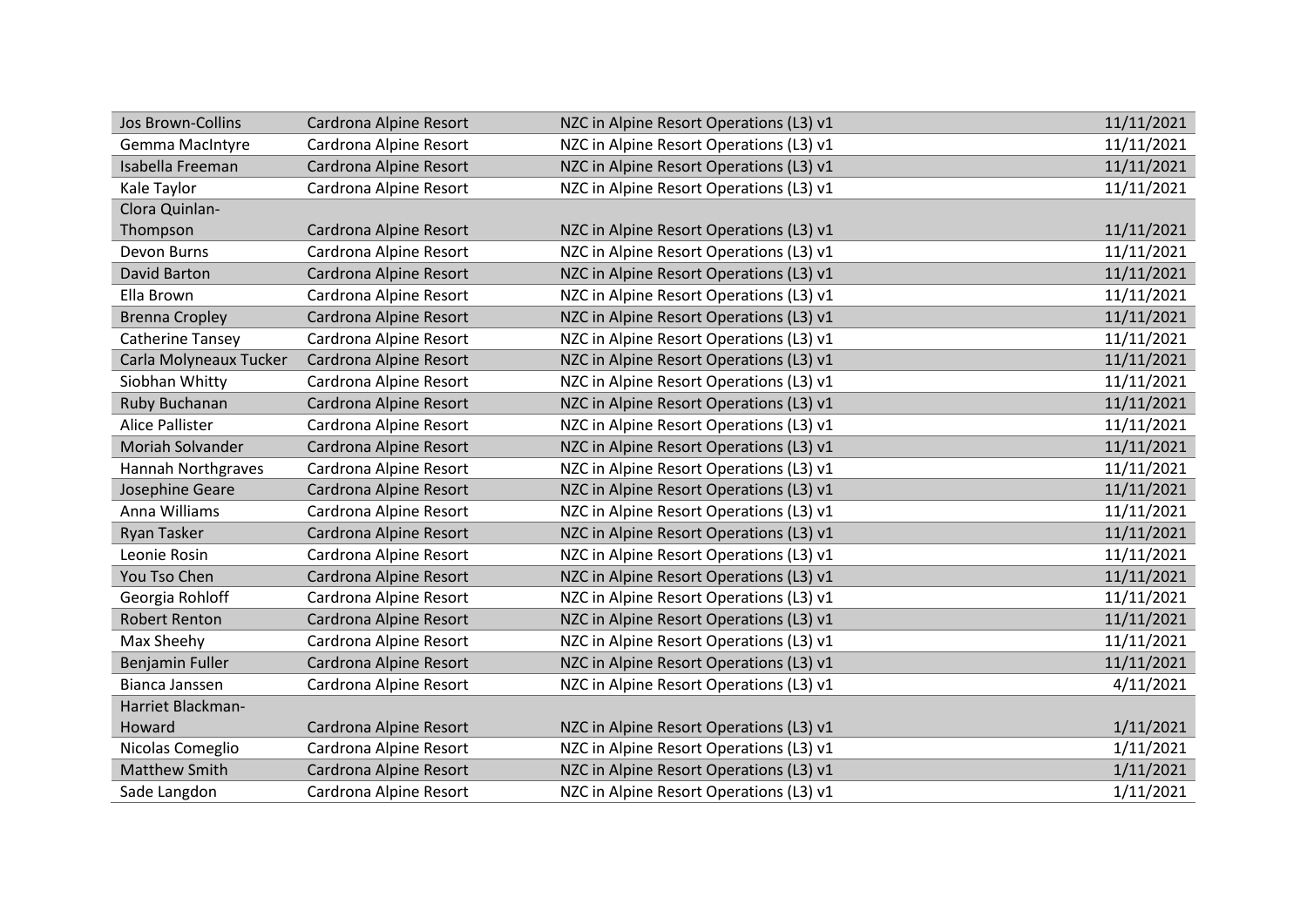| Jos Brown-Collins         | Cardrona Alpine Resort | NZC in Alpine Resort Operations (L3) v1 | 11/11/2021 |
|---------------------------|------------------------|-----------------------------------------|------------|
| Gemma MacIntyre           | Cardrona Alpine Resort | NZC in Alpine Resort Operations (L3) v1 | 11/11/2021 |
| Isabella Freeman          | Cardrona Alpine Resort | NZC in Alpine Resort Operations (L3) v1 | 11/11/2021 |
| Kale Taylor               | Cardrona Alpine Resort | NZC in Alpine Resort Operations (L3) v1 | 11/11/2021 |
| Clora Quinlan-            |                        |                                         |            |
| Thompson                  | Cardrona Alpine Resort | NZC in Alpine Resort Operations (L3) v1 | 11/11/2021 |
| Devon Burns               | Cardrona Alpine Resort | NZC in Alpine Resort Operations (L3) v1 | 11/11/2021 |
| David Barton              | Cardrona Alpine Resort | NZC in Alpine Resort Operations (L3) v1 | 11/11/2021 |
| Ella Brown                | Cardrona Alpine Resort | NZC in Alpine Resort Operations (L3) v1 | 11/11/2021 |
| <b>Brenna Cropley</b>     | Cardrona Alpine Resort | NZC in Alpine Resort Operations (L3) v1 | 11/11/2021 |
| <b>Catherine Tansey</b>   | Cardrona Alpine Resort | NZC in Alpine Resort Operations (L3) v1 | 11/11/2021 |
| Carla Molyneaux Tucker    | Cardrona Alpine Resort | NZC in Alpine Resort Operations (L3) v1 | 11/11/2021 |
| Siobhan Whitty            | Cardrona Alpine Resort | NZC in Alpine Resort Operations (L3) v1 | 11/11/2021 |
| Ruby Buchanan             | Cardrona Alpine Resort | NZC in Alpine Resort Operations (L3) v1 | 11/11/2021 |
| <b>Alice Pallister</b>    | Cardrona Alpine Resort | NZC in Alpine Resort Operations (L3) v1 | 11/11/2021 |
| Moriah Solvander          | Cardrona Alpine Resort | NZC in Alpine Resort Operations (L3) v1 | 11/11/2021 |
| <b>Hannah Northgraves</b> | Cardrona Alpine Resort | NZC in Alpine Resort Operations (L3) v1 | 11/11/2021 |
| Josephine Geare           | Cardrona Alpine Resort | NZC in Alpine Resort Operations (L3) v1 | 11/11/2021 |
| Anna Williams             | Cardrona Alpine Resort | NZC in Alpine Resort Operations (L3) v1 | 11/11/2021 |
| <b>Ryan Tasker</b>        | Cardrona Alpine Resort | NZC in Alpine Resort Operations (L3) v1 | 11/11/2021 |
| Leonie Rosin              | Cardrona Alpine Resort | NZC in Alpine Resort Operations (L3) v1 | 11/11/2021 |
| You Tso Chen              | Cardrona Alpine Resort | NZC in Alpine Resort Operations (L3) v1 | 11/11/2021 |
| Georgia Rohloff           | Cardrona Alpine Resort | NZC in Alpine Resort Operations (L3) v1 | 11/11/2021 |
| <b>Robert Renton</b>      | Cardrona Alpine Resort | NZC in Alpine Resort Operations (L3) v1 | 11/11/2021 |
| Max Sheehy                | Cardrona Alpine Resort | NZC in Alpine Resort Operations (L3) v1 | 11/11/2021 |
| Benjamin Fuller           | Cardrona Alpine Resort | NZC in Alpine Resort Operations (L3) v1 | 11/11/2021 |
| Bianca Janssen            | Cardrona Alpine Resort | NZC in Alpine Resort Operations (L3) v1 | 4/11/2021  |
| Harriet Blackman-         |                        |                                         |            |
| Howard                    | Cardrona Alpine Resort | NZC in Alpine Resort Operations (L3) v1 | 1/11/2021  |
| Nicolas Comeglio          | Cardrona Alpine Resort | NZC in Alpine Resort Operations (L3) v1 | 1/11/2021  |
| <b>Matthew Smith</b>      | Cardrona Alpine Resort | NZC in Alpine Resort Operations (L3) v1 | 1/11/2021  |
| Sade Langdon              | Cardrona Alpine Resort | NZC in Alpine Resort Operations (L3) v1 | 1/11/2021  |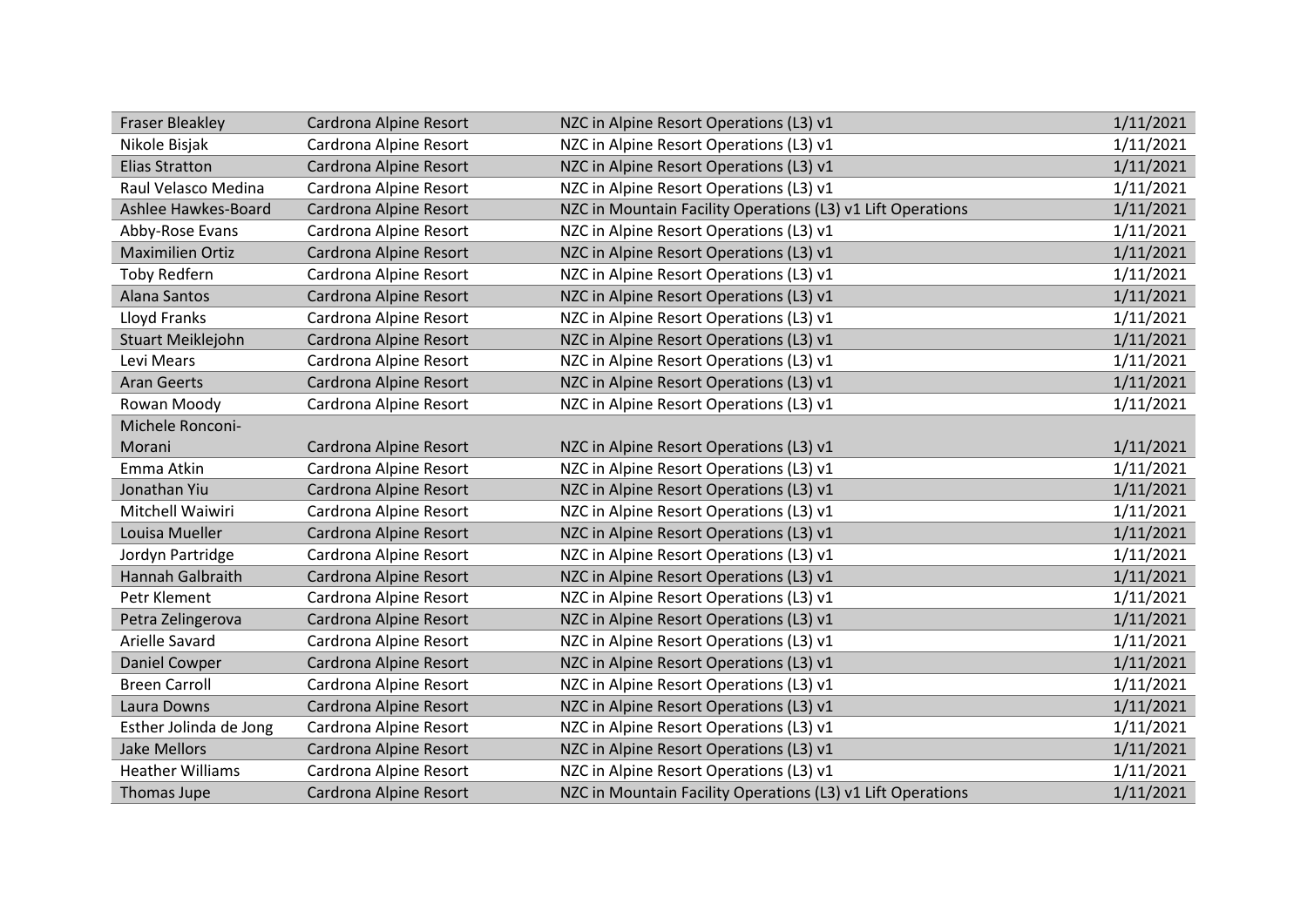| <b>Fraser Bleakley</b>  | Cardrona Alpine Resort | NZC in Alpine Resort Operations (L3) v1                     | 1/11/2021 |
|-------------------------|------------------------|-------------------------------------------------------------|-----------|
| Nikole Bisjak           | Cardrona Alpine Resort | NZC in Alpine Resort Operations (L3) v1                     | 1/11/2021 |
| <b>Elias Stratton</b>   | Cardrona Alpine Resort | NZC in Alpine Resort Operations (L3) v1                     | 1/11/2021 |
| Raul Velasco Medina     | Cardrona Alpine Resort | NZC in Alpine Resort Operations (L3) v1                     | 1/11/2021 |
| Ashlee Hawkes-Board     | Cardrona Alpine Resort | NZC in Mountain Facility Operations (L3) v1 Lift Operations | 1/11/2021 |
| Abby-Rose Evans         | Cardrona Alpine Resort | NZC in Alpine Resort Operations (L3) v1                     | 1/11/2021 |
| <b>Maximilien Ortiz</b> | Cardrona Alpine Resort | NZC in Alpine Resort Operations (L3) v1                     | 1/11/2021 |
| <b>Toby Redfern</b>     | Cardrona Alpine Resort | NZC in Alpine Resort Operations (L3) v1                     | 1/11/2021 |
| Alana Santos            | Cardrona Alpine Resort | NZC in Alpine Resort Operations (L3) v1                     | 1/11/2021 |
| Lloyd Franks            | Cardrona Alpine Resort | NZC in Alpine Resort Operations (L3) v1                     | 1/11/2021 |
| Stuart Meiklejohn       | Cardrona Alpine Resort | NZC in Alpine Resort Operations (L3) v1                     | 1/11/2021 |
| Levi Mears              | Cardrona Alpine Resort | NZC in Alpine Resort Operations (L3) v1                     | 1/11/2021 |
| <b>Aran Geerts</b>      | Cardrona Alpine Resort | NZC in Alpine Resort Operations (L3) v1                     | 1/11/2021 |
| Rowan Moody             | Cardrona Alpine Resort | NZC in Alpine Resort Operations (L3) v1                     | 1/11/2021 |
| Michele Ronconi-        |                        |                                                             |           |
| Morani                  | Cardrona Alpine Resort | NZC in Alpine Resort Operations (L3) v1                     | 1/11/2021 |
| Emma Atkin              | Cardrona Alpine Resort | NZC in Alpine Resort Operations (L3) v1                     | 1/11/2021 |
| Jonathan Yiu            | Cardrona Alpine Resort | NZC in Alpine Resort Operations (L3) v1                     | 1/11/2021 |
| Mitchell Waiwiri        | Cardrona Alpine Resort | NZC in Alpine Resort Operations (L3) v1                     | 1/11/2021 |
| Louisa Mueller          | Cardrona Alpine Resort | NZC in Alpine Resort Operations (L3) v1                     | 1/11/2021 |
| Jordyn Partridge        | Cardrona Alpine Resort | NZC in Alpine Resort Operations (L3) v1                     | 1/11/2021 |
| Hannah Galbraith        | Cardrona Alpine Resort | NZC in Alpine Resort Operations (L3) v1                     | 1/11/2021 |
| Petr Klement            | Cardrona Alpine Resort | NZC in Alpine Resort Operations (L3) v1                     | 1/11/2021 |
| Petra Zelingerova       | Cardrona Alpine Resort | NZC in Alpine Resort Operations (L3) v1                     | 1/11/2021 |
| Arielle Savard          | Cardrona Alpine Resort | NZC in Alpine Resort Operations (L3) v1                     | 1/11/2021 |
| Daniel Cowper           | Cardrona Alpine Resort | NZC in Alpine Resort Operations (L3) v1                     | 1/11/2021 |
| <b>Breen Carroll</b>    | Cardrona Alpine Resort | NZC in Alpine Resort Operations (L3) v1                     | 1/11/2021 |
| Laura Downs             | Cardrona Alpine Resort | NZC in Alpine Resort Operations (L3) v1                     | 1/11/2021 |
| Esther Jolinda de Jong  | Cardrona Alpine Resort | NZC in Alpine Resort Operations (L3) v1                     | 1/11/2021 |
| <b>Jake Mellors</b>     | Cardrona Alpine Resort | NZC in Alpine Resort Operations (L3) v1                     | 1/11/2021 |
| <b>Heather Williams</b> | Cardrona Alpine Resort | NZC in Alpine Resort Operations (L3) v1                     | 1/11/2021 |
| Thomas Jupe             | Cardrona Alpine Resort | NZC in Mountain Facility Operations (L3) v1 Lift Operations | 1/11/2021 |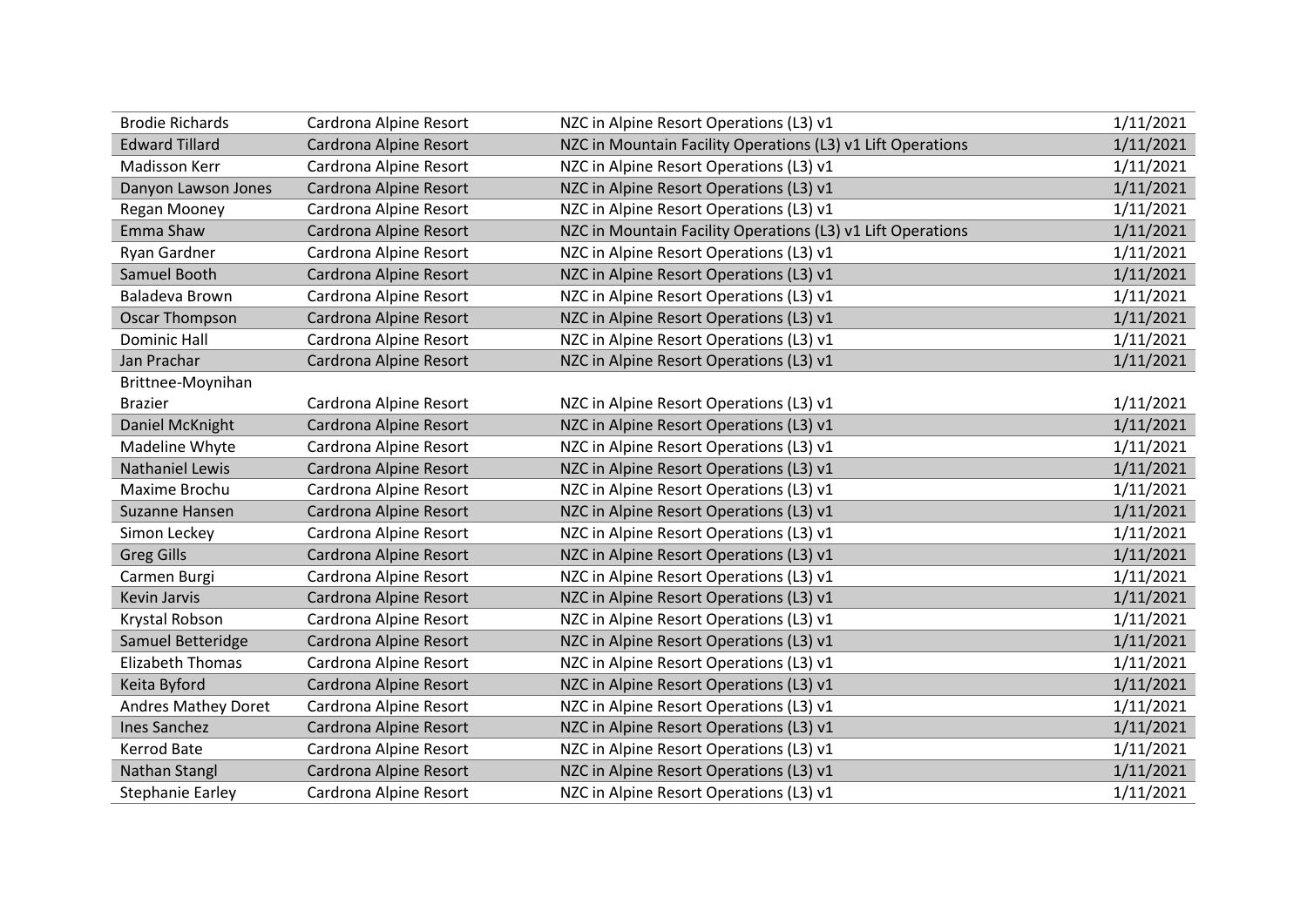| <b>Brodie Richards</b>     | Cardrona Alpine Resort | NZC in Alpine Resort Operations (L3) v1                     | 1/11/2021 |
|----------------------------|------------------------|-------------------------------------------------------------|-----------|
| <b>Edward Tillard</b>      | Cardrona Alpine Resort | NZC in Mountain Facility Operations (L3) v1 Lift Operations | 1/11/2021 |
| <b>Madisson Kerr</b>       | Cardrona Alpine Resort | NZC in Alpine Resort Operations (L3) v1                     | 1/11/2021 |
| Danyon Lawson Jones        | Cardrona Alpine Resort | NZC in Alpine Resort Operations (L3) v1                     | 1/11/2021 |
| Regan Mooney               | Cardrona Alpine Resort | NZC in Alpine Resort Operations (L3) v1                     | 1/11/2021 |
| Emma Shaw                  | Cardrona Alpine Resort | NZC in Mountain Facility Operations (L3) v1 Lift Operations | 1/11/2021 |
| Ryan Gardner               | Cardrona Alpine Resort | NZC in Alpine Resort Operations (L3) v1                     | 1/11/2021 |
| Samuel Booth               | Cardrona Alpine Resort | NZC in Alpine Resort Operations (L3) v1                     | 1/11/2021 |
| Baladeva Brown             | Cardrona Alpine Resort | NZC in Alpine Resort Operations (L3) v1                     | 1/11/2021 |
| Oscar Thompson             | Cardrona Alpine Resort | NZC in Alpine Resort Operations (L3) v1                     | 1/11/2021 |
| <b>Dominic Hall</b>        | Cardrona Alpine Resort | NZC in Alpine Resort Operations (L3) v1                     | 1/11/2021 |
| Jan Prachar                | Cardrona Alpine Resort | NZC in Alpine Resort Operations (L3) v1                     | 1/11/2021 |
| Brittnee-Moynihan          |                        |                                                             |           |
| <b>Brazier</b>             | Cardrona Alpine Resort | NZC in Alpine Resort Operations (L3) v1                     | 1/11/2021 |
| Daniel McKnight            | Cardrona Alpine Resort | NZC in Alpine Resort Operations (L3) v1                     | 1/11/2021 |
| Madeline Whyte             | Cardrona Alpine Resort | NZC in Alpine Resort Operations (L3) v1                     | 1/11/2021 |
| <b>Nathaniel Lewis</b>     | Cardrona Alpine Resort | NZC in Alpine Resort Operations (L3) v1                     | 1/11/2021 |
| Maxime Brochu              | Cardrona Alpine Resort | NZC in Alpine Resort Operations (L3) v1                     | 1/11/2021 |
| Suzanne Hansen             | Cardrona Alpine Resort | NZC in Alpine Resort Operations (L3) v1                     | 1/11/2021 |
| Simon Leckey               | Cardrona Alpine Resort | NZC in Alpine Resort Operations (L3) v1                     | 1/11/2021 |
| <b>Greg Gills</b>          | Cardrona Alpine Resort | NZC in Alpine Resort Operations (L3) v1                     | 1/11/2021 |
| Carmen Burgi               | Cardrona Alpine Resort | NZC in Alpine Resort Operations (L3) v1                     | 1/11/2021 |
| <b>Kevin Jarvis</b>        | Cardrona Alpine Resort | NZC in Alpine Resort Operations (L3) v1                     | 1/11/2021 |
| Krystal Robson             | Cardrona Alpine Resort | NZC in Alpine Resort Operations (L3) v1                     | 1/11/2021 |
| Samuel Betteridge          | Cardrona Alpine Resort | NZC in Alpine Resort Operations (L3) v1                     | 1/11/2021 |
| <b>Elizabeth Thomas</b>    | Cardrona Alpine Resort | NZC in Alpine Resort Operations (L3) v1                     | 1/11/2021 |
| Keita Byford               | Cardrona Alpine Resort | NZC in Alpine Resort Operations (L3) v1                     | 1/11/2021 |
| <b>Andres Mathey Doret</b> | Cardrona Alpine Resort | NZC in Alpine Resort Operations (L3) v1                     | 1/11/2021 |
| <b>Ines Sanchez</b>        | Cardrona Alpine Resort | NZC in Alpine Resort Operations (L3) v1                     | 1/11/2021 |
| <b>Kerrod Bate</b>         | Cardrona Alpine Resort | NZC in Alpine Resort Operations (L3) v1                     | 1/11/2021 |
| Nathan Stangl              | Cardrona Alpine Resort | NZC in Alpine Resort Operations (L3) v1                     | 1/11/2021 |
| <b>Stephanie Earley</b>    | Cardrona Alpine Resort | NZC in Alpine Resort Operations (L3) v1                     | 1/11/2021 |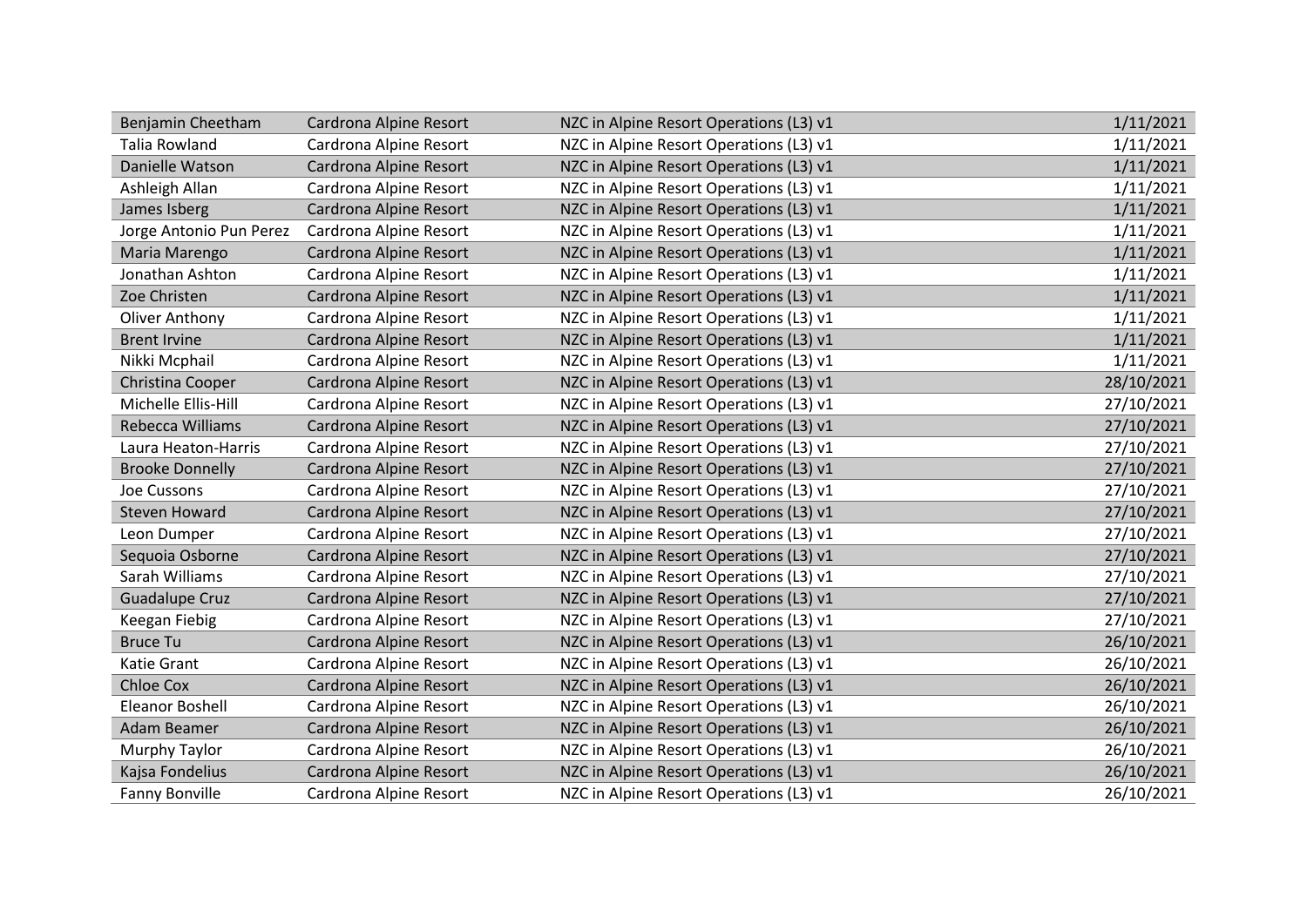| Benjamin Cheetham       | Cardrona Alpine Resort | NZC in Alpine Resort Operations (L3) v1 | 1/11/2021  |
|-------------------------|------------------------|-----------------------------------------|------------|
| <b>Talia Rowland</b>    | Cardrona Alpine Resort | NZC in Alpine Resort Operations (L3) v1 | 1/11/2021  |
| Danielle Watson         | Cardrona Alpine Resort | NZC in Alpine Resort Operations (L3) v1 | 1/11/2021  |
| Ashleigh Allan          | Cardrona Alpine Resort | NZC in Alpine Resort Operations (L3) v1 | 1/11/2021  |
| James Isberg            | Cardrona Alpine Resort | NZC in Alpine Resort Operations (L3) v1 | 1/11/2021  |
| Jorge Antonio Pun Perez | Cardrona Alpine Resort | NZC in Alpine Resort Operations (L3) v1 | 1/11/2021  |
| Maria Marengo           | Cardrona Alpine Resort | NZC in Alpine Resort Operations (L3) v1 | 1/11/2021  |
| Jonathan Ashton         | Cardrona Alpine Resort | NZC in Alpine Resort Operations (L3) v1 | 1/11/2021  |
| Zoe Christen            | Cardrona Alpine Resort | NZC in Alpine Resort Operations (L3) v1 | 1/11/2021  |
| Oliver Anthony          | Cardrona Alpine Resort | NZC in Alpine Resort Operations (L3) v1 | 1/11/2021  |
| <b>Brent Irvine</b>     | Cardrona Alpine Resort | NZC in Alpine Resort Operations (L3) v1 | 1/11/2021  |
| Nikki Mcphail           | Cardrona Alpine Resort | NZC in Alpine Resort Operations (L3) v1 | 1/11/2021  |
| Christina Cooper        | Cardrona Alpine Resort | NZC in Alpine Resort Operations (L3) v1 | 28/10/2021 |
| Michelle Ellis-Hill     | Cardrona Alpine Resort | NZC in Alpine Resort Operations (L3) v1 | 27/10/2021 |
| Rebecca Williams        | Cardrona Alpine Resort | NZC in Alpine Resort Operations (L3) v1 | 27/10/2021 |
| Laura Heaton-Harris     | Cardrona Alpine Resort | NZC in Alpine Resort Operations (L3) v1 | 27/10/2021 |
| <b>Brooke Donnelly</b>  | Cardrona Alpine Resort | NZC in Alpine Resort Operations (L3) v1 | 27/10/2021 |
| Joe Cussons             | Cardrona Alpine Resort | NZC in Alpine Resort Operations (L3) v1 | 27/10/2021 |
| <b>Steven Howard</b>    | Cardrona Alpine Resort | NZC in Alpine Resort Operations (L3) v1 | 27/10/2021 |
| Leon Dumper             | Cardrona Alpine Resort | NZC in Alpine Resort Operations (L3) v1 | 27/10/2021 |
| Sequoia Osborne         | Cardrona Alpine Resort | NZC in Alpine Resort Operations (L3) v1 | 27/10/2021 |
| Sarah Williams          | Cardrona Alpine Resort | NZC in Alpine Resort Operations (L3) v1 | 27/10/2021 |
| <b>Guadalupe Cruz</b>   | Cardrona Alpine Resort | NZC in Alpine Resort Operations (L3) v1 | 27/10/2021 |
| Keegan Fiebig           | Cardrona Alpine Resort | NZC in Alpine Resort Operations (L3) v1 | 27/10/2021 |
| <b>Bruce Tu</b>         | Cardrona Alpine Resort | NZC in Alpine Resort Operations (L3) v1 | 26/10/2021 |
| Katie Grant             | Cardrona Alpine Resort | NZC in Alpine Resort Operations (L3) v1 | 26/10/2021 |
| <b>Chloe Cox</b>        | Cardrona Alpine Resort | NZC in Alpine Resort Operations (L3) v1 | 26/10/2021 |
| <b>Eleanor Boshell</b>  | Cardrona Alpine Resort | NZC in Alpine Resort Operations (L3) v1 | 26/10/2021 |
| Adam Beamer             | Cardrona Alpine Resort | NZC in Alpine Resort Operations (L3) v1 | 26/10/2021 |
| Murphy Taylor           | Cardrona Alpine Resort | NZC in Alpine Resort Operations (L3) v1 | 26/10/2021 |
| Kajsa Fondelius         | Cardrona Alpine Resort | NZC in Alpine Resort Operations (L3) v1 | 26/10/2021 |
| <b>Fanny Bonville</b>   | Cardrona Alpine Resort | NZC in Alpine Resort Operations (L3) v1 | 26/10/2021 |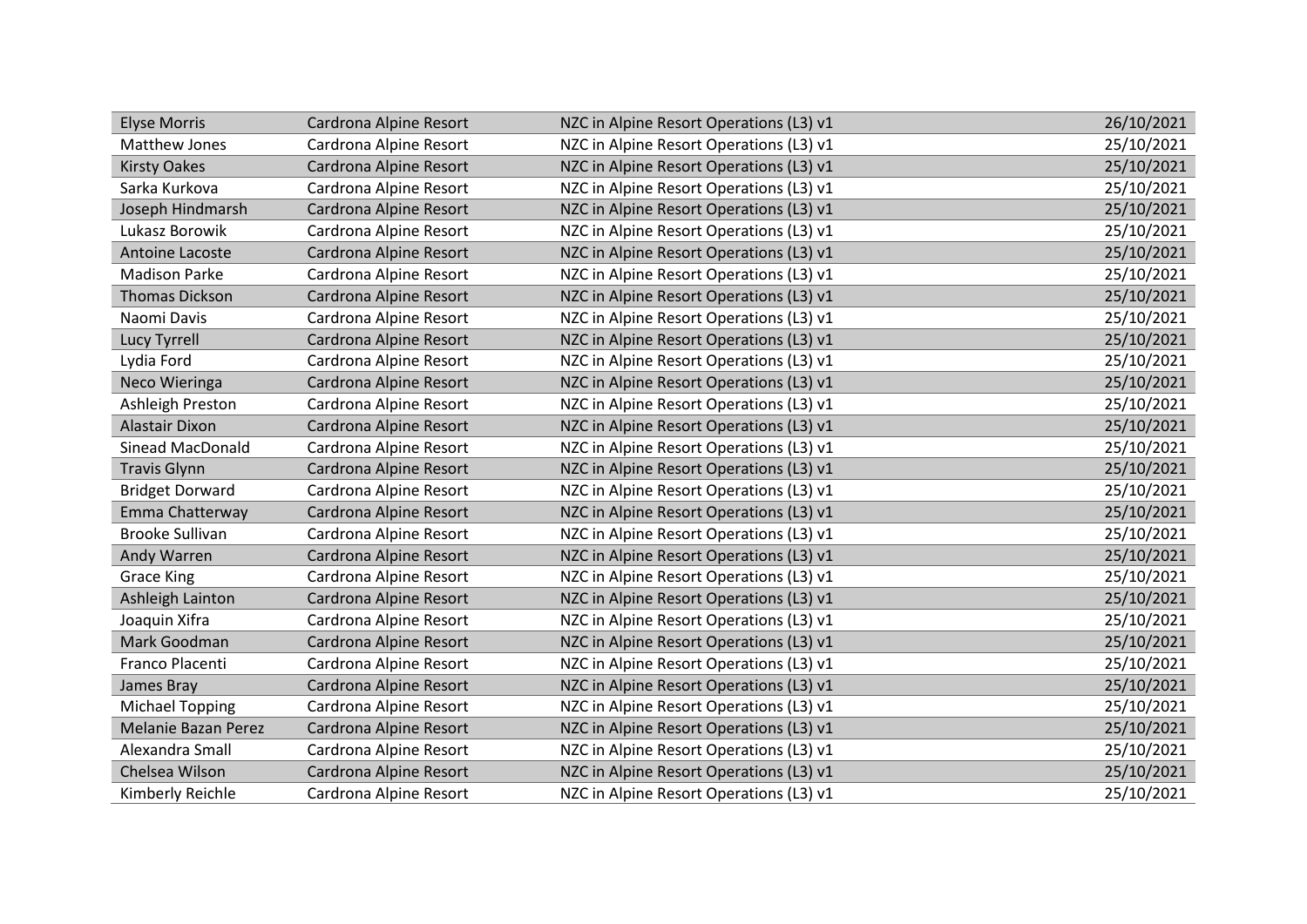| <b>Elyse Morris</b>        | Cardrona Alpine Resort | NZC in Alpine Resort Operations (L3) v1 | 26/10/2021 |
|----------------------------|------------------------|-----------------------------------------|------------|
| Matthew Jones              | Cardrona Alpine Resort | NZC in Alpine Resort Operations (L3) v1 | 25/10/2021 |
| <b>Kirsty Oakes</b>        | Cardrona Alpine Resort | NZC in Alpine Resort Operations (L3) v1 | 25/10/2021 |
| Sarka Kurkova              | Cardrona Alpine Resort | NZC in Alpine Resort Operations (L3) v1 | 25/10/2021 |
| Joseph Hindmarsh           | Cardrona Alpine Resort | NZC in Alpine Resort Operations (L3) v1 | 25/10/2021 |
| Lukasz Borowik             | Cardrona Alpine Resort | NZC in Alpine Resort Operations (L3) v1 | 25/10/2021 |
| Antoine Lacoste            | Cardrona Alpine Resort | NZC in Alpine Resort Operations (L3) v1 | 25/10/2021 |
| <b>Madison Parke</b>       | Cardrona Alpine Resort | NZC in Alpine Resort Operations (L3) v1 | 25/10/2021 |
| <b>Thomas Dickson</b>      | Cardrona Alpine Resort | NZC in Alpine Resort Operations (L3) v1 | 25/10/2021 |
| Naomi Davis                | Cardrona Alpine Resort | NZC in Alpine Resort Operations (L3) v1 | 25/10/2021 |
| Lucy Tyrrell               | Cardrona Alpine Resort | NZC in Alpine Resort Operations (L3) v1 | 25/10/2021 |
| Lydia Ford                 | Cardrona Alpine Resort | NZC in Alpine Resort Operations (L3) v1 | 25/10/2021 |
| Neco Wieringa              | Cardrona Alpine Resort | NZC in Alpine Resort Operations (L3) v1 | 25/10/2021 |
| Ashleigh Preston           | Cardrona Alpine Resort | NZC in Alpine Resort Operations (L3) v1 | 25/10/2021 |
| Alastair Dixon             | Cardrona Alpine Resort | NZC in Alpine Resort Operations (L3) v1 | 25/10/2021 |
| <b>Sinead MacDonald</b>    | Cardrona Alpine Resort | NZC in Alpine Resort Operations (L3) v1 | 25/10/2021 |
| <b>Travis Glynn</b>        | Cardrona Alpine Resort | NZC in Alpine Resort Operations (L3) v1 | 25/10/2021 |
| <b>Bridget Dorward</b>     | Cardrona Alpine Resort | NZC in Alpine Resort Operations (L3) v1 | 25/10/2021 |
| Emma Chatterway            | Cardrona Alpine Resort | NZC in Alpine Resort Operations (L3) v1 | 25/10/2021 |
| <b>Brooke Sullivan</b>     | Cardrona Alpine Resort | NZC in Alpine Resort Operations (L3) v1 | 25/10/2021 |
| Andy Warren                | Cardrona Alpine Resort | NZC in Alpine Resort Operations (L3) v1 | 25/10/2021 |
| <b>Grace King</b>          | Cardrona Alpine Resort | NZC in Alpine Resort Operations (L3) v1 | 25/10/2021 |
| Ashleigh Lainton           | Cardrona Alpine Resort | NZC in Alpine Resort Operations (L3) v1 | 25/10/2021 |
| Joaquin Xifra              | Cardrona Alpine Resort | NZC in Alpine Resort Operations (L3) v1 | 25/10/2021 |
| Mark Goodman               | Cardrona Alpine Resort | NZC in Alpine Resort Operations (L3) v1 | 25/10/2021 |
| Franco Placenti            | Cardrona Alpine Resort | NZC in Alpine Resort Operations (L3) v1 | 25/10/2021 |
| James Bray                 | Cardrona Alpine Resort | NZC in Alpine Resort Operations (L3) v1 | 25/10/2021 |
| <b>Michael Topping</b>     | Cardrona Alpine Resort | NZC in Alpine Resort Operations (L3) v1 | 25/10/2021 |
| <b>Melanie Bazan Perez</b> | Cardrona Alpine Resort | NZC in Alpine Resort Operations (L3) v1 | 25/10/2021 |
| Alexandra Small            | Cardrona Alpine Resort | NZC in Alpine Resort Operations (L3) v1 | 25/10/2021 |
| Chelsea Wilson             | Cardrona Alpine Resort | NZC in Alpine Resort Operations (L3) v1 | 25/10/2021 |
| Kimberly Reichle           | Cardrona Alpine Resort | NZC in Alpine Resort Operations (L3) v1 | 25/10/2021 |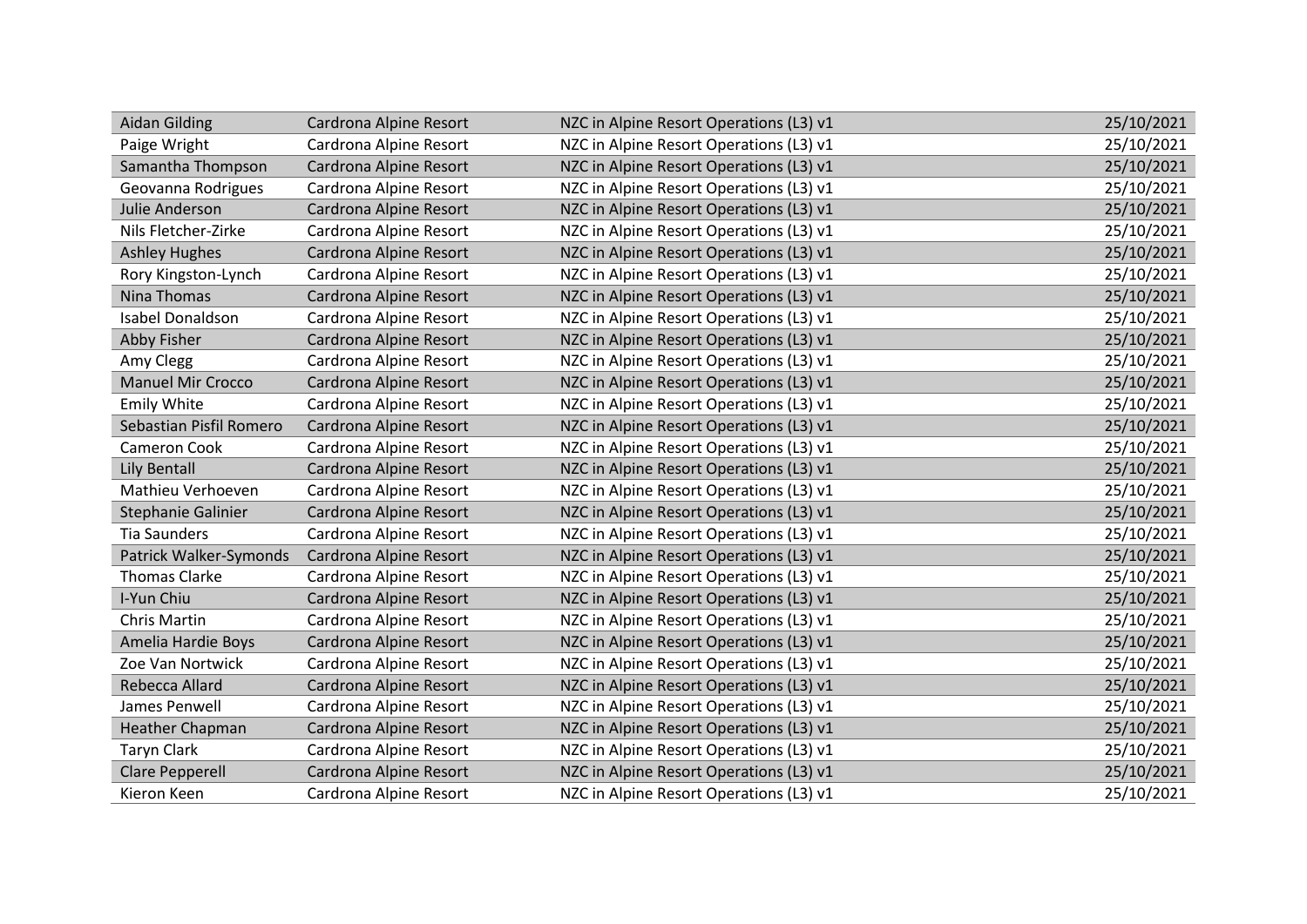| <b>Aidan Gilding</b>     | Cardrona Alpine Resort | NZC in Alpine Resort Operations (L3) v1 | 25/10/2021 |
|--------------------------|------------------------|-----------------------------------------|------------|
| Paige Wright             | Cardrona Alpine Resort | NZC in Alpine Resort Operations (L3) v1 | 25/10/2021 |
| Samantha Thompson        | Cardrona Alpine Resort | NZC in Alpine Resort Operations (L3) v1 | 25/10/2021 |
| Geovanna Rodrigues       | Cardrona Alpine Resort | NZC in Alpine Resort Operations (L3) v1 | 25/10/2021 |
| Julie Anderson           | Cardrona Alpine Resort | NZC in Alpine Resort Operations (L3) v1 | 25/10/2021 |
| Nils Fletcher-Zirke      | Cardrona Alpine Resort | NZC in Alpine Resort Operations (L3) v1 | 25/10/2021 |
| <b>Ashley Hughes</b>     | Cardrona Alpine Resort | NZC in Alpine Resort Operations (L3) v1 | 25/10/2021 |
| Rory Kingston-Lynch      | Cardrona Alpine Resort | NZC in Alpine Resort Operations (L3) v1 | 25/10/2021 |
| Nina Thomas              | Cardrona Alpine Resort | NZC in Alpine Resort Operations (L3) v1 | 25/10/2021 |
| Isabel Donaldson         | Cardrona Alpine Resort | NZC in Alpine Resort Operations (L3) v1 | 25/10/2021 |
| Abby Fisher              | Cardrona Alpine Resort | NZC in Alpine Resort Operations (L3) v1 | 25/10/2021 |
| Amy Clegg                | Cardrona Alpine Resort | NZC in Alpine Resort Operations (L3) v1 | 25/10/2021 |
| <b>Manuel Mir Crocco</b> | Cardrona Alpine Resort | NZC in Alpine Resort Operations (L3) v1 | 25/10/2021 |
| <b>Emily White</b>       | Cardrona Alpine Resort | NZC in Alpine Resort Operations (L3) v1 | 25/10/2021 |
| Sebastian Pisfil Romero  | Cardrona Alpine Resort | NZC in Alpine Resort Operations (L3) v1 | 25/10/2021 |
| Cameron Cook             | Cardrona Alpine Resort | NZC in Alpine Resort Operations (L3) v1 | 25/10/2021 |
| <b>Lily Bentall</b>      | Cardrona Alpine Resort | NZC in Alpine Resort Operations (L3) v1 | 25/10/2021 |
| Mathieu Verhoeven        | Cardrona Alpine Resort | NZC in Alpine Resort Operations (L3) v1 | 25/10/2021 |
| Stephanie Galinier       | Cardrona Alpine Resort | NZC in Alpine Resort Operations (L3) v1 | 25/10/2021 |
| <b>Tia Saunders</b>      | Cardrona Alpine Resort | NZC in Alpine Resort Operations (L3) v1 | 25/10/2021 |
| Patrick Walker-Symonds   | Cardrona Alpine Resort | NZC in Alpine Resort Operations (L3) v1 | 25/10/2021 |
| <b>Thomas Clarke</b>     | Cardrona Alpine Resort | NZC in Alpine Resort Operations (L3) v1 | 25/10/2021 |
| I-Yun Chiu               | Cardrona Alpine Resort | NZC in Alpine Resort Operations (L3) v1 | 25/10/2021 |
| Chris Martin             | Cardrona Alpine Resort | NZC in Alpine Resort Operations (L3) v1 | 25/10/2021 |
| Amelia Hardie Boys       | Cardrona Alpine Resort | NZC in Alpine Resort Operations (L3) v1 | 25/10/2021 |
| Zoe Van Nortwick         | Cardrona Alpine Resort | NZC in Alpine Resort Operations (L3) v1 | 25/10/2021 |
| Rebecca Allard           | Cardrona Alpine Resort | NZC in Alpine Resort Operations (L3) v1 | 25/10/2021 |
| James Penwell            | Cardrona Alpine Resort | NZC in Alpine Resort Operations (L3) v1 | 25/10/2021 |
| Heather Chapman          | Cardrona Alpine Resort | NZC in Alpine Resort Operations (L3) v1 | 25/10/2021 |
| <b>Taryn Clark</b>       | Cardrona Alpine Resort | NZC in Alpine Resort Operations (L3) v1 | 25/10/2021 |
| <b>Clare Pepperell</b>   | Cardrona Alpine Resort | NZC in Alpine Resort Operations (L3) v1 | 25/10/2021 |
| Kieron Keen              | Cardrona Alpine Resort | NZC in Alpine Resort Operations (L3) v1 | 25/10/2021 |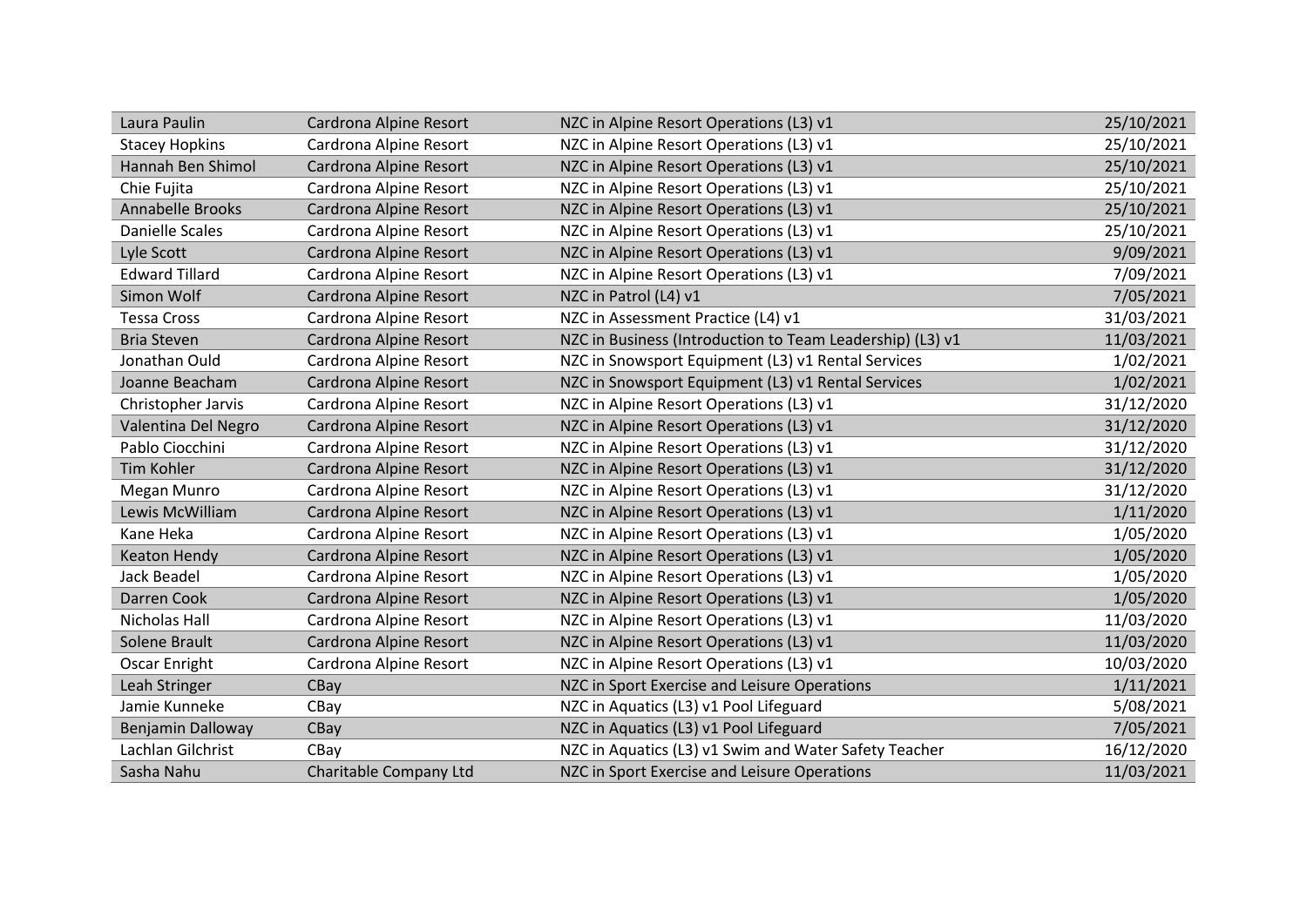| Laura Paulin             | Cardrona Alpine Resort | NZC in Alpine Resort Operations (L3) v1                   | 25/10/2021 |
|--------------------------|------------------------|-----------------------------------------------------------|------------|
| <b>Stacey Hopkins</b>    | Cardrona Alpine Resort | NZC in Alpine Resort Operations (L3) v1                   | 25/10/2021 |
| Hannah Ben Shimol        | Cardrona Alpine Resort | NZC in Alpine Resort Operations (L3) v1                   | 25/10/2021 |
| Chie Fujita              | Cardrona Alpine Resort | NZC in Alpine Resort Operations (L3) v1                   | 25/10/2021 |
| Annabelle Brooks         | Cardrona Alpine Resort | NZC in Alpine Resort Operations (L3) v1                   | 25/10/2021 |
| <b>Danielle Scales</b>   | Cardrona Alpine Resort | NZC in Alpine Resort Operations (L3) v1                   | 25/10/2021 |
| Lyle Scott               | Cardrona Alpine Resort | NZC in Alpine Resort Operations (L3) v1                   | 9/09/2021  |
| <b>Edward Tillard</b>    | Cardrona Alpine Resort | NZC in Alpine Resort Operations (L3) v1                   | 7/09/2021  |
| Simon Wolf               | Cardrona Alpine Resort | NZC in Patrol (L4) v1                                     | 7/05/2021  |
| <b>Tessa Cross</b>       | Cardrona Alpine Resort | NZC in Assessment Practice (L4) v1                        | 31/03/2021 |
| <b>Bria Steven</b>       | Cardrona Alpine Resort | NZC in Business (Introduction to Team Leadership) (L3) v1 | 11/03/2021 |
| Jonathan Ould            | Cardrona Alpine Resort | NZC in Snowsport Equipment (L3) v1 Rental Services        | 1/02/2021  |
| Joanne Beacham           | Cardrona Alpine Resort | NZC in Snowsport Equipment (L3) v1 Rental Services        | 1/02/2021  |
| Christopher Jarvis       | Cardrona Alpine Resort | NZC in Alpine Resort Operations (L3) v1                   | 31/12/2020 |
| Valentina Del Negro      | Cardrona Alpine Resort | NZC in Alpine Resort Operations (L3) v1                   | 31/12/2020 |
| Pablo Ciocchini          | Cardrona Alpine Resort | NZC in Alpine Resort Operations (L3) v1                   | 31/12/2020 |
| <b>Tim Kohler</b>        | Cardrona Alpine Resort | NZC in Alpine Resort Operations (L3) v1                   | 31/12/2020 |
| Megan Munro              | Cardrona Alpine Resort | NZC in Alpine Resort Operations (L3) v1                   | 31/12/2020 |
| Lewis McWilliam          | Cardrona Alpine Resort | NZC in Alpine Resort Operations (L3) v1                   | 1/11/2020  |
| Kane Heka                | Cardrona Alpine Resort | NZC in Alpine Resort Operations (L3) v1                   | 1/05/2020  |
| <b>Keaton Hendy</b>      | Cardrona Alpine Resort | NZC in Alpine Resort Operations (L3) v1                   | 1/05/2020  |
| Jack Beadel              | Cardrona Alpine Resort | NZC in Alpine Resort Operations (L3) v1                   | 1/05/2020  |
| Darren Cook              | Cardrona Alpine Resort | NZC in Alpine Resort Operations (L3) v1                   | 1/05/2020  |
| Nicholas Hall            | Cardrona Alpine Resort | NZC in Alpine Resort Operations (L3) v1                   | 11/03/2020 |
| Solene Brault            | Cardrona Alpine Resort | NZC in Alpine Resort Operations (L3) v1                   | 11/03/2020 |
| Oscar Enright            | Cardrona Alpine Resort | NZC in Alpine Resort Operations (L3) v1                   | 10/03/2020 |
| Leah Stringer            | CBay                   | NZC in Sport Exercise and Leisure Operations              | 1/11/2021  |
| Jamie Kunneke            | CBay                   | NZC in Aquatics (L3) v1 Pool Lifeguard                    | 5/08/2021  |
| <b>Benjamin Dalloway</b> | CBay                   | NZC in Aquatics (L3) v1 Pool Lifeguard                    | 7/05/2021  |
| Lachlan Gilchrist        | CBay                   | NZC in Aquatics (L3) v1 Swim and Water Safety Teacher     | 16/12/2020 |
| Sasha Nahu               | Charitable Company Ltd | NZC in Sport Exercise and Leisure Operations              | 11/03/2021 |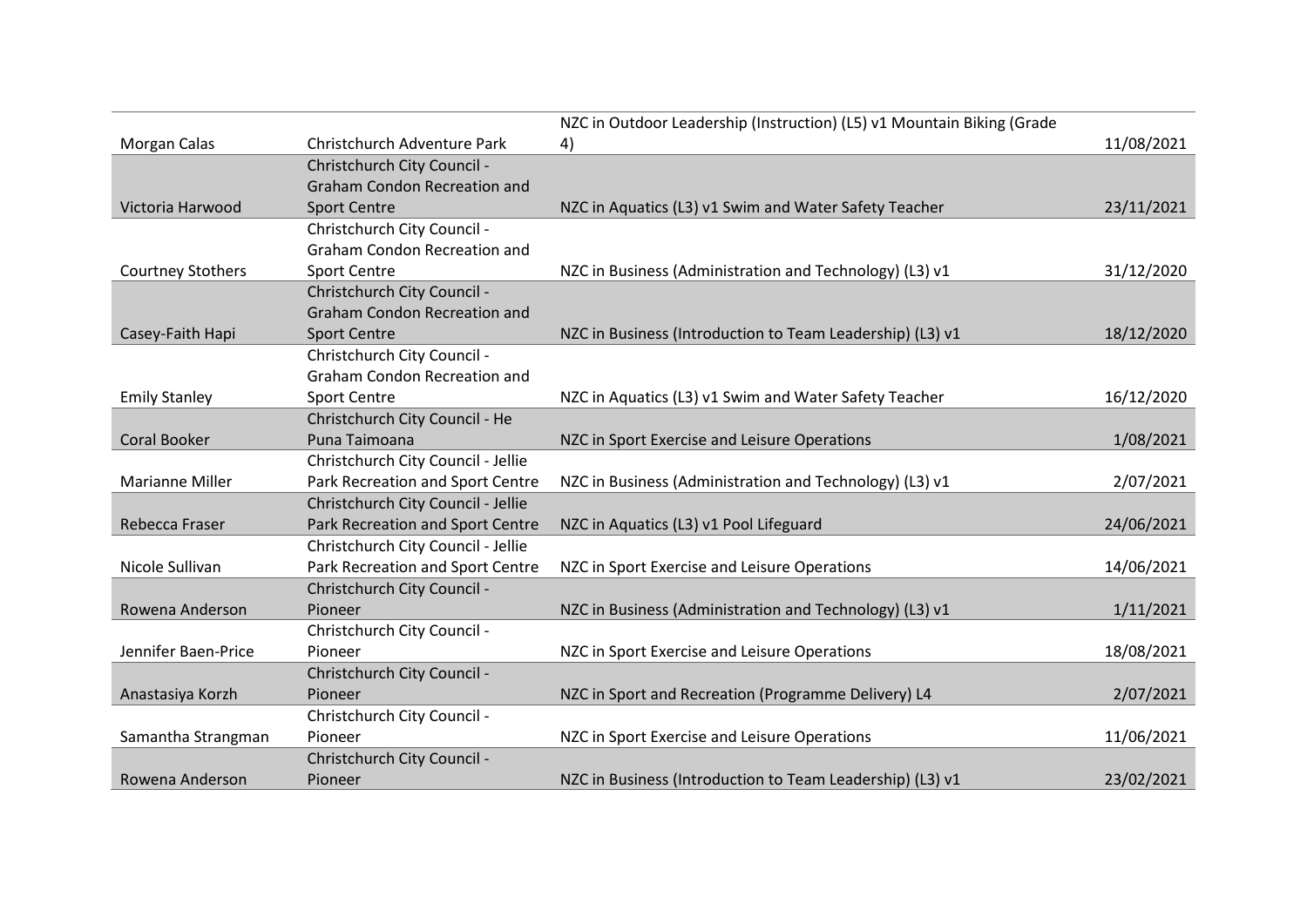|                          |                                     | NZC in Outdoor Leadership (Instruction) (L5) v1 Mountain Biking (Grade |            |
|--------------------------|-------------------------------------|------------------------------------------------------------------------|------------|
| Morgan Calas             | Christchurch Adventure Park         | 4)                                                                     | 11/08/2021 |
|                          | Christchurch City Council -         |                                                                        |            |
|                          | <b>Graham Condon Recreation and</b> |                                                                        |            |
| Victoria Harwood         | <b>Sport Centre</b>                 | NZC in Aquatics (L3) v1 Swim and Water Safety Teacher                  | 23/11/2021 |
|                          | Christchurch City Council -         |                                                                        |            |
|                          | <b>Graham Condon Recreation and</b> |                                                                        |            |
| <b>Courtney Stothers</b> | <b>Sport Centre</b>                 | NZC in Business (Administration and Technology) (L3) v1                | 31/12/2020 |
|                          | Christchurch City Council -         |                                                                        |            |
|                          | <b>Graham Condon Recreation and</b> |                                                                        |            |
| Casey-Faith Hapi         | <b>Sport Centre</b>                 | NZC in Business (Introduction to Team Leadership) (L3) v1              | 18/12/2020 |
|                          | Christchurch City Council -         |                                                                        |            |
|                          | <b>Graham Condon Recreation and</b> |                                                                        |            |
| <b>Emily Stanley</b>     | <b>Sport Centre</b>                 | NZC in Aquatics (L3) v1 Swim and Water Safety Teacher                  | 16/12/2020 |
|                          | Christchurch City Council - He      |                                                                        |            |
| <b>Coral Booker</b>      | Puna Taimoana                       | NZC in Sport Exercise and Leisure Operations                           | 1/08/2021  |
|                          | Christchurch City Council - Jellie  |                                                                        |            |
| Marianne Miller          | Park Recreation and Sport Centre    | NZC in Business (Administration and Technology) (L3) v1                | 2/07/2021  |
|                          | Christchurch City Council - Jellie  |                                                                        |            |
| Rebecca Fraser           | Park Recreation and Sport Centre    | NZC in Aquatics (L3) v1 Pool Lifeguard                                 | 24/06/2021 |
|                          | Christchurch City Council - Jellie  |                                                                        |            |
| Nicole Sullivan          | Park Recreation and Sport Centre    | NZC in Sport Exercise and Leisure Operations                           | 14/06/2021 |
|                          | Christchurch City Council -         |                                                                        |            |
| Rowena Anderson          | Pioneer                             | NZC in Business (Administration and Technology) (L3) v1                | 1/11/2021  |
|                          | Christchurch City Council -         |                                                                        |            |
| Jennifer Baen-Price      | Pioneer                             | NZC in Sport Exercise and Leisure Operations                           | 18/08/2021 |
|                          | Christchurch City Council -         |                                                                        |            |
| Anastasiya Korzh         | Pioneer                             | NZC in Sport and Recreation (Programme Delivery) L4                    | 2/07/2021  |
|                          | Christchurch City Council -         |                                                                        |            |
| Samantha Strangman       | Pioneer                             | NZC in Sport Exercise and Leisure Operations                           | 11/06/2021 |
|                          | Christchurch City Council -         |                                                                        |            |
| Rowena Anderson          | Pioneer                             | NZC in Business (Introduction to Team Leadership) (L3) v1              | 23/02/2021 |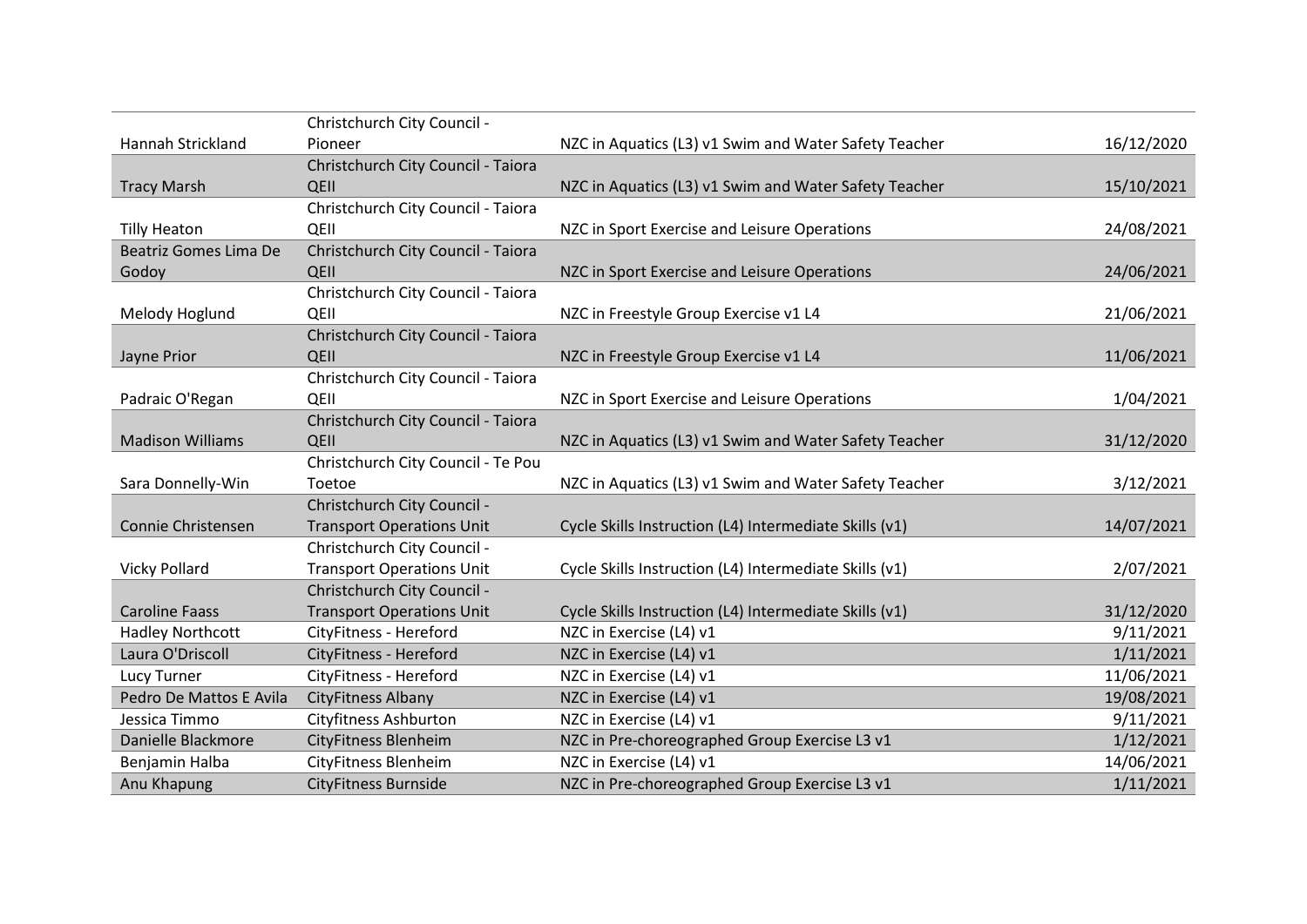|                         | Christchurch City Council -        |                                                        |            |
|-------------------------|------------------------------------|--------------------------------------------------------|------------|
| Hannah Strickland       | Pioneer                            | NZC in Aquatics (L3) v1 Swim and Water Safety Teacher  | 16/12/2020 |
|                         | Christchurch City Council - Taiora |                                                        |            |
| <b>Tracy Marsh</b>      | QEII                               | NZC in Aquatics (L3) v1 Swim and Water Safety Teacher  | 15/10/2021 |
|                         | Christchurch City Council - Taiora |                                                        |            |
| <b>Tilly Heaton</b>     | QEII                               | NZC in Sport Exercise and Leisure Operations           | 24/08/2021 |
| Beatriz Gomes Lima De   | Christchurch City Council - Taiora |                                                        |            |
| Godoy                   | QEII                               | NZC in Sport Exercise and Leisure Operations           | 24/06/2021 |
|                         | Christchurch City Council - Taiora |                                                        |            |
| Melody Hoglund          | QEII                               | NZC in Freestyle Group Exercise v1 L4                  | 21/06/2021 |
|                         | Christchurch City Council - Taiora |                                                        |            |
| Jayne Prior             | QEII                               | NZC in Freestyle Group Exercise v1 L4                  | 11/06/2021 |
|                         | Christchurch City Council - Taiora |                                                        |            |
| Padraic O'Regan         | QEII                               | NZC in Sport Exercise and Leisure Operations           | 1/04/2021  |
|                         | Christchurch City Council - Taiora |                                                        |            |
| <b>Madison Williams</b> | QEII                               | NZC in Aquatics (L3) v1 Swim and Water Safety Teacher  | 31/12/2020 |
|                         | Christchurch City Council - Te Pou |                                                        |            |
| Sara Donnelly-Win       | Toetoe                             | NZC in Aquatics (L3) v1 Swim and Water Safety Teacher  | 3/12/2021  |
|                         | Christchurch City Council -        |                                                        |            |
| Connie Christensen      | <b>Transport Operations Unit</b>   | Cycle Skills Instruction (L4) Intermediate Skills (v1) | 14/07/2021 |
|                         | Christchurch City Council -        |                                                        |            |
| <b>Vicky Pollard</b>    | <b>Transport Operations Unit</b>   | Cycle Skills Instruction (L4) Intermediate Skills (v1) | 2/07/2021  |
|                         | Christchurch City Council -        |                                                        |            |
| <b>Caroline Faass</b>   | <b>Transport Operations Unit</b>   | Cycle Skills Instruction (L4) Intermediate Skills (v1) | 31/12/2020 |
| <b>Hadley Northcott</b> | CityFitness - Hereford             | NZC in Exercise (L4) v1                                | 9/11/2021  |
| Laura O'Driscoll        | CityFitness - Hereford             | NZC in Exercise (L4) v1                                | 1/11/2021  |
| Lucy Turner             | CityFitness - Hereford             | NZC in Exercise (L4) v1                                | 11/06/2021 |
| Pedro De Mattos E Avila | <b>CityFitness Albany</b>          | NZC in Exercise (L4) v1                                | 19/08/2021 |
| Jessica Timmo           | Cityfitness Ashburton              | NZC in Exercise (L4) v1                                | 9/11/2021  |
| Danielle Blackmore      | <b>CityFitness Blenheim</b>        | NZC in Pre-choreographed Group Exercise L3 v1          | 1/12/2021  |
| Benjamin Halba          | <b>CityFitness Blenheim</b>        | NZC in Exercise (L4) v1                                | 14/06/2021 |
| Anu Khapung             | <b>CityFitness Burnside</b>        | NZC in Pre-choreographed Group Exercise L3 v1          | 1/11/2021  |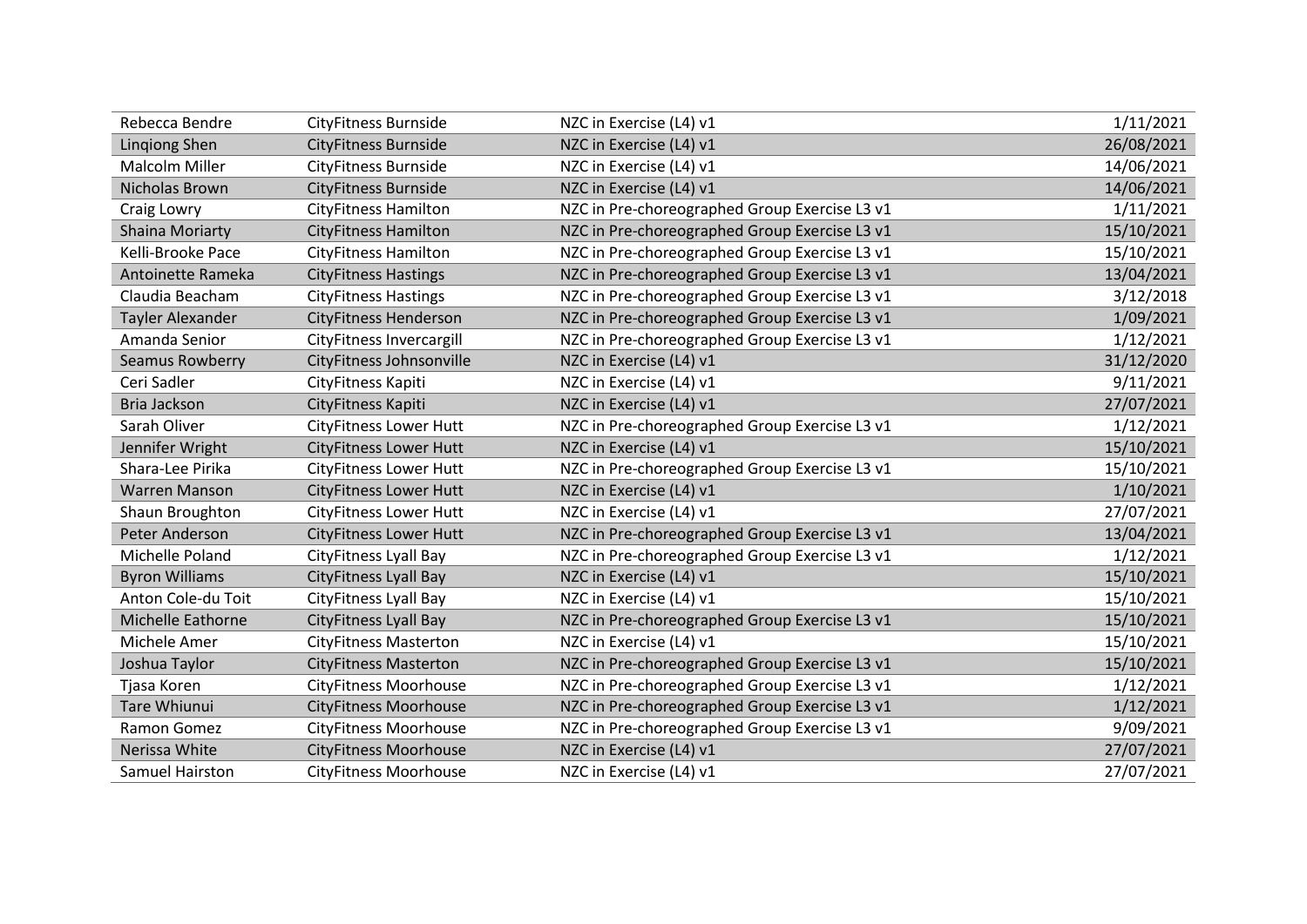| Rebecca Bendre           | <b>CityFitness Burnside</b>   | NZC in Exercise (L4) v1                       | 1/11/2021  |
|--------------------------|-------------------------------|-----------------------------------------------|------------|
| <b>Lingiong Shen</b>     | <b>CityFitness Burnside</b>   | NZC in Exercise (L4) v1                       | 26/08/2021 |
| <b>Malcolm Miller</b>    | <b>CityFitness Burnside</b>   | NZC in Exercise (L4) v1                       | 14/06/2021 |
| <b>Nicholas Brown</b>    | <b>CityFitness Burnside</b>   | NZC in Exercise (L4) v1                       | 14/06/2021 |
| Craig Lowry              | <b>CityFitness Hamilton</b>   | NZC in Pre-choreographed Group Exercise L3 v1 | 1/11/2021  |
| Shaina Moriarty          | <b>CityFitness Hamilton</b>   | NZC in Pre-choreographed Group Exercise L3 v1 | 15/10/2021 |
| Kelli-Brooke Pace        | <b>CityFitness Hamilton</b>   | NZC in Pre-choreographed Group Exercise L3 v1 | 15/10/2021 |
| Antoinette Rameka        | <b>CityFitness Hastings</b>   | NZC in Pre-choreographed Group Exercise L3 v1 | 13/04/2021 |
| Claudia Beacham          | <b>CityFitness Hastings</b>   | NZC in Pre-choreographed Group Exercise L3 v1 | 3/12/2018  |
| <b>Tayler Alexander</b>  | <b>CityFitness Henderson</b>  | NZC in Pre-choreographed Group Exercise L3 v1 | 1/09/2021  |
| Amanda Senior            | CityFitness Invercargill      | NZC in Pre-choreographed Group Exercise L3 v1 | 1/12/2021  |
| Seamus Rowberry          | CityFitness Johnsonville      | NZC in Exercise (L4) v1                       | 31/12/2020 |
| Ceri Sadler              | CityFitness Kapiti            | NZC in Exercise (L4) v1                       | 9/11/2021  |
| Bria Jackson             | CityFitness Kapiti            | NZC in Exercise (L4) v1                       | 27/07/2021 |
| Sarah Oliver             | <b>CityFitness Lower Hutt</b> | NZC in Pre-choreographed Group Exercise L3 v1 | 1/12/2021  |
| Jennifer Wright          | <b>CityFitness Lower Hutt</b> | NZC in Exercise (L4) v1                       | 15/10/2021 |
| Shara-Lee Pirika         | <b>CityFitness Lower Hutt</b> | NZC in Pre-choreographed Group Exercise L3 v1 | 15/10/2021 |
| <b>Warren Manson</b>     | <b>CityFitness Lower Hutt</b> | NZC in Exercise (L4) v1                       | 1/10/2021  |
| Shaun Broughton          | <b>CityFitness Lower Hutt</b> | NZC in Exercise (L4) v1                       | 27/07/2021 |
| Peter Anderson           | <b>CityFitness Lower Hutt</b> | NZC in Pre-choreographed Group Exercise L3 v1 | 13/04/2021 |
| Michelle Poland          | CityFitness Lyall Bay         | NZC in Pre-choreographed Group Exercise L3 v1 | 1/12/2021  |
| <b>Byron Williams</b>    | <b>CityFitness Lyall Bay</b>  | NZC in Exercise (L4) v1                       | 15/10/2021 |
| Anton Cole-du Toit       | <b>CityFitness Lyall Bay</b>  | NZC in Exercise (L4) v1                       | 15/10/2021 |
| <b>Michelle Eathorne</b> | <b>CityFitness Lyall Bay</b>  | NZC in Pre-choreographed Group Exercise L3 v1 | 15/10/2021 |
| Michele Amer             | <b>CityFitness Masterton</b>  | NZC in Exercise (L4) v1                       | 15/10/2021 |
| Joshua Taylor            | <b>CityFitness Masterton</b>  | NZC in Pre-choreographed Group Exercise L3 v1 | 15/10/2021 |
| Tjasa Koren              | <b>CityFitness Moorhouse</b>  | NZC in Pre-choreographed Group Exercise L3 v1 | 1/12/2021  |
| <b>Tare Whiunui</b>      | <b>CityFitness Moorhouse</b>  | NZC in Pre-choreographed Group Exercise L3 v1 | 1/12/2021  |
| Ramon Gomez              | <b>CityFitness Moorhouse</b>  | NZC in Pre-choreographed Group Exercise L3 v1 | 9/09/2021  |
| Nerissa White            | <b>CityFitness Moorhouse</b>  | NZC in Exercise (L4) v1                       | 27/07/2021 |
| Samuel Hairston          | <b>CityFitness Moorhouse</b>  | NZC in Exercise (L4) v1                       | 27/07/2021 |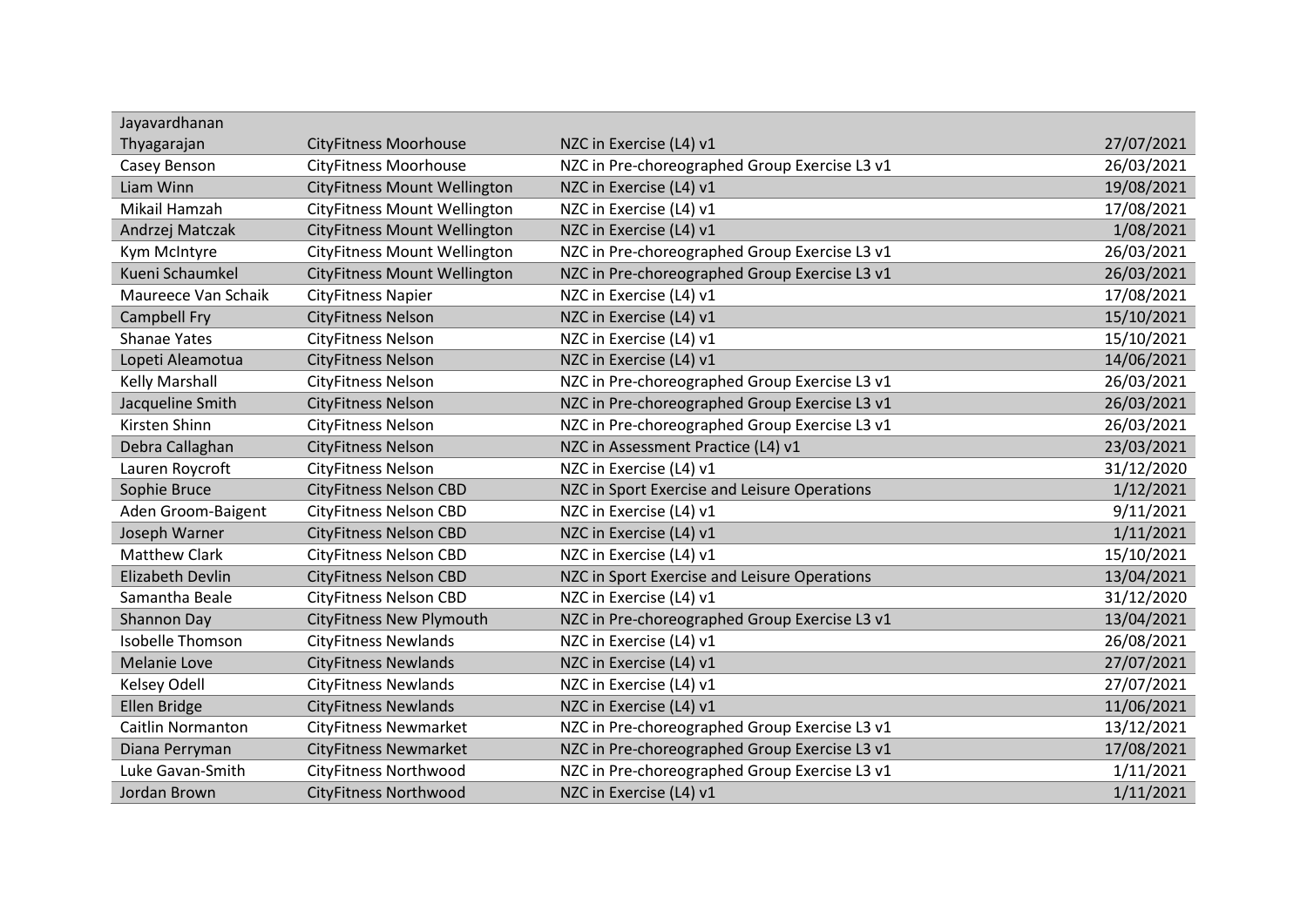| Jayavardhanan            |                                     |                                               |            |
|--------------------------|-------------------------------------|-----------------------------------------------|------------|
| Thyagarajan              | <b>CityFitness Moorhouse</b>        | NZC in Exercise (L4) v1                       | 27/07/2021 |
| Casey Benson             | <b>CityFitness Moorhouse</b>        | NZC in Pre-choreographed Group Exercise L3 v1 | 26/03/2021 |
| Liam Winn                | <b>CityFitness Mount Wellington</b> | NZC in Exercise (L4) v1                       | 19/08/2021 |
| Mikail Hamzah            | CityFitness Mount Wellington        | NZC in Exercise (L4) v1                       | 17/08/2021 |
| Andrzej Matczak          | CityFitness Mount Wellington        | NZC in Exercise (L4) v1                       | 1/08/2021  |
| Kym McIntyre             | <b>CityFitness Mount Wellington</b> | NZC in Pre-choreographed Group Exercise L3 v1 | 26/03/2021 |
| Kueni Schaumkel          | CityFitness Mount Wellington        | NZC in Pre-choreographed Group Exercise L3 v1 | 26/03/2021 |
| Maureece Van Schaik      | <b>CityFitness Napier</b>           | NZC in Exercise (L4) v1                       | 17/08/2021 |
| <b>Campbell Fry</b>      | <b>CityFitness Nelson</b>           | NZC in Exercise (L4) v1                       | 15/10/2021 |
| <b>Shanae Yates</b>      | <b>CityFitness Nelson</b>           | NZC in Exercise (L4) v1                       | 15/10/2021 |
| Lopeti Aleamotua         | <b>CityFitness Nelson</b>           | NZC in Exercise (L4) v1                       | 14/06/2021 |
| <b>Kelly Marshall</b>    | <b>CityFitness Nelson</b>           | NZC in Pre-choreographed Group Exercise L3 v1 | 26/03/2021 |
| Jacqueline Smith         | <b>CityFitness Nelson</b>           | NZC in Pre-choreographed Group Exercise L3 v1 | 26/03/2021 |
| Kirsten Shinn            | <b>CityFitness Nelson</b>           | NZC in Pre-choreographed Group Exercise L3 v1 | 26/03/2021 |
| Debra Callaghan          | <b>CityFitness Nelson</b>           | NZC in Assessment Practice (L4) v1            | 23/03/2021 |
| Lauren Roycroft          | <b>CityFitness Nelson</b>           | NZC in Exercise (L4) v1                       | 31/12/2020 |
| Sophie Bruce             | <b>CityFitness Nelson CBD</b>       | NZC in Sport Exercise and Leisure Operations  | 1/12/2021  |
| Aden Groom-Baigent       | <b>CityFitness Nelson CBD</b>       | NZC in Exercise (L4) v1                       | 9/11/2021  |
| Joseph Warner            | <b>CityFitness Nelson CBD</b>       | NZC in Exercise (L4) v1                       | 1/11/2021  |
| <b>Matthew Clark</b>     | <b>CityFitness Nelson CBD</b>       | NZC in Exercise (L4) v1                       | 15/10/2021 |
| Elizabeth Devlin         | <b>CityFitness Nelson CBD</b>       | NZC in Sport Exercise and Leisure Operations  | 13/04/2021 |
| Samantha Beale           | <b>CityFitness Nelson CBD</b>       | NZC in Exercise (L4) v1                       | 31/12/2020 |
| Shannon Day              | CityFitness New Plymouth            | NZC in Pre-choreographed Group Exercise L3 v1 | 13/04/2021 |
| <b>Isobelle Thomson</b>  | <b>CityFitness Newlands</b>         | NZC in Exercise (L4) v1                       | 26/08/2021 |
| <b>Melanie Love</b>      | <b>CityFitness Newlands</b>         | NZC in Exercise (L4) v1                       | 27/07/2021 |
| Kelsey Odell             | <b>CityFitness Newlands</b>         | NZC in Exercise (L4) v1                       | 27/07/2021 |
| Ellen Bridge             | <b>CityFitness Newlands</b>         | NZC in Exercise (L4) v1                       | 11/06/2021 |
| <b>Caitlin Normanton</b> | <b>CityFitness Newmarket</b>        | NZC in Pre-choreographed Group Exercise L3 v1 | 13/12/2021 |
| Diana Perryman           | <b>CityFitness Newmarket</b>        | NZC in Pre-choreographed Group Exercise L3 v1 | 17/08/2021 |
| Luke Gavan-Smith         | <b>CityFitness Northwood</b>        | NZC in Pre-choreographed Group Exercise L3 v1 | 1/11/2021  |
| Jordan Brown             | <b>CityFitness Northwood</b>        | NZC in Exercise (L4) v1                       | 1/11/2021  |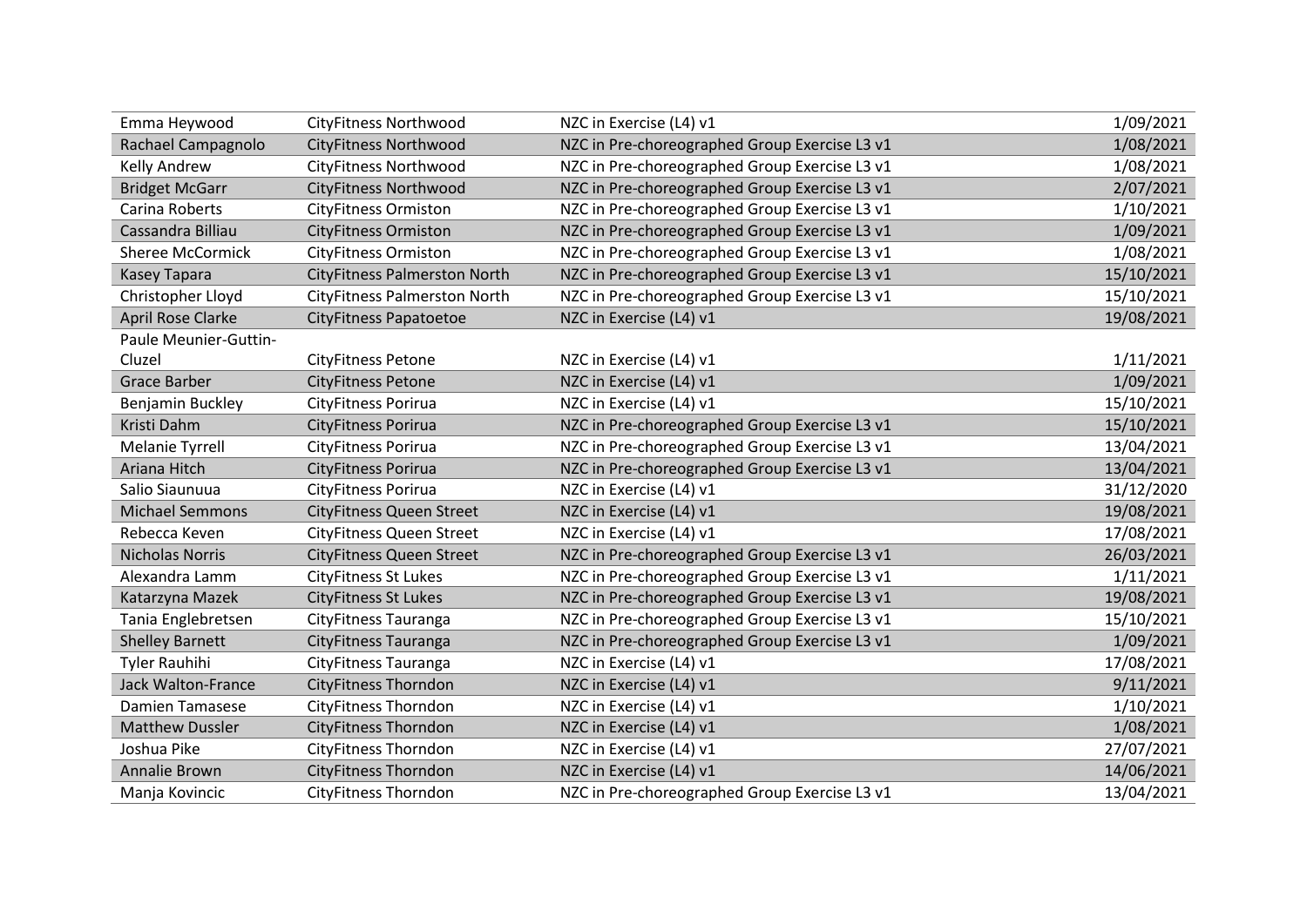| Emma Heywood              | CityFitness Northwood               | NZC in Exercise (L4) v1                       | 1/09/2021  |
|---------------------------|-------------------------------------|-----------------------------------------------|------------|
| Rachael Campagnolo        | <b>CityFitness Northwood</b>        | NZC in Pre-choreographed Group Exercise L3 v1 | 1/08/2021  |
| <b>Kelly Andrew</b>       | <b>CityFitness Northwood</b>        | NZC in Pre-choreographed Group Exercise L3 v1 | 1/08/2021  |
| <b>Bridget McGarr</b>     | <b>CityFitness Northwood</b>        | NZC in Pre-choreographed Group Exercise L3 v1 | 2/07/2021  |
| Carina Roberts            | <b>CityFitness Ormiston</b>         | NZC in Pre-choreographed Group Exercise L3 v1 | 1/10/2021  |
| Cassandra Billiau         | <b>CityFitness Ormiston</b>         | NZC in Pre-choreographed Group Exercise L3 v1 | 1/09/2021  |
| <b>Sheree McCormick</b>   | <b>CityFitness Ormiston</b>         | NZC in Pre-choreographed Group Exercise L3 v1 | 1/08/2021  |
| <b>Kasey Tapara</b>       | <b>CityFitness Palmerston North</b> | NZC in Pre-choreographed Group Exercise L3 v1 | 15/10/2021 |
| Christopher Lloyd         | <b>CityFitness Palmerston North</b> | NZC in Pre-choreographed Group Exercise L3 v1 | 15/10/2021 |
| <b>April Rose Clarke</b>  | <b>CityFitness Papatoetoe</b>       | NZC in Exercise (L4) v1                       | 19/08/2021 |
| Paule Meunier-Guttin-     |                                     |                                               |            |
| Cluzel                    | <b>CityFitness Petone</b>           | NZC in Exercise (L4) v1                       | 1/11/2021  |
| <b>Grace Barber</b>       | <b>CityFitness Petone</b>           | NZC in Exercise (L4) v1                       | 1/09/2021  |
| Benjamin Buckley          | CityFitness Porirua                 | NZC in Exercise (L4) v1                       | 15/10/2021 |
| Kristi Dahm               | CityFitness Porirua                 | NZC in Pre-choreographed Group Exercise L3 v1 | 15/10/2021 |
| <b>Melanie Tyrrell</b>    | CityFitness Porirua                 | NZC in Pre-choreographed Group Exercise L3 v1 | 13/04/2021 |
| Ariana Hitch              | CityFitness Porirua                 | NZC in Pre-choreographed Group Exercise L3 v1 | 13/04/2021 |
| Salio Siaunuua            | CityFitness Porirua                 | NZC in Exercise (L4) v1                       | 31/12/2020 |
| <b>Michael Semmons</b>    | <b>CityFitness Queen Street</b>     | NZC in Exercise (L4) v1                       | 19/08/2021 |
| Rebecca Keven             | <b>CityFitness Queen Street</b>     | NZC in Exercise (L4) v1                       | 17/08/2021 |
| <b>Nicholas Norris</b>    | <b>CityFitness Queen Street</b>     | NZC in Pre-choreographed Group Exercise L3 v1 | 26/03/2021 |
| Alexandra Lamm            | <b>CityFitness St Lukes</b>         | NZC in Pre-choreographed Group Exercise L3 v1 | 1/11/2021  |
| Katarzyna Mazek           | <b>CityFitness St Lukes</b>         | NZC in Pre-choreographed Group Exercise L3 v1 | 19/08/2021 |
| Tania Englebretsen        | CityFitness Tauranga                | NZC in Pre-choreographed Group Exercise L3 v1 | 15/10/2021 |
| <b>Shelley Barnett</b>    | CityFitness Tauranga                | NZC in Pre-choreographed Group Exercise L3 v1 | 1/09/2021  |
| <b>Tyler Rauhihi</b>      | CityFitness Tauranga                | NZC in Exercise (L4) v1                       | 17/08/2021 |
| <b>Jack Walton-France</b> | <b>CityFitness Thorndon</b>         | NZC in Exercise (L4) v1                       | 9/11/2021  |
| <b>Damien Tamasese</b>    | <b>CityFitness Thorndon</b>         | NZC in Exercise (L4) v1                       | 1/10/2021  |
| <b>Matthew Dussler</b>    | <b>CityFitness Thorndon</b>         | NZC in Exercise (L4) v1                       | 1/08/2021  |
| Joshua Pike               | <b>CityFitness Thorndon</b>         | NZC in Exercise (L4) v1                       | 27/07/2021 |
| Annalie Brown             | <b>CityFitness Thorndon</b>         | NZC in Exercise (L4) v1                       | 14/06/2021 |
| Manja Kovincic            | <b>CityFitness Thorndon</b>         | NZC in Pre-choreographed Group Exercise L3 v1 | 13/04/2021 |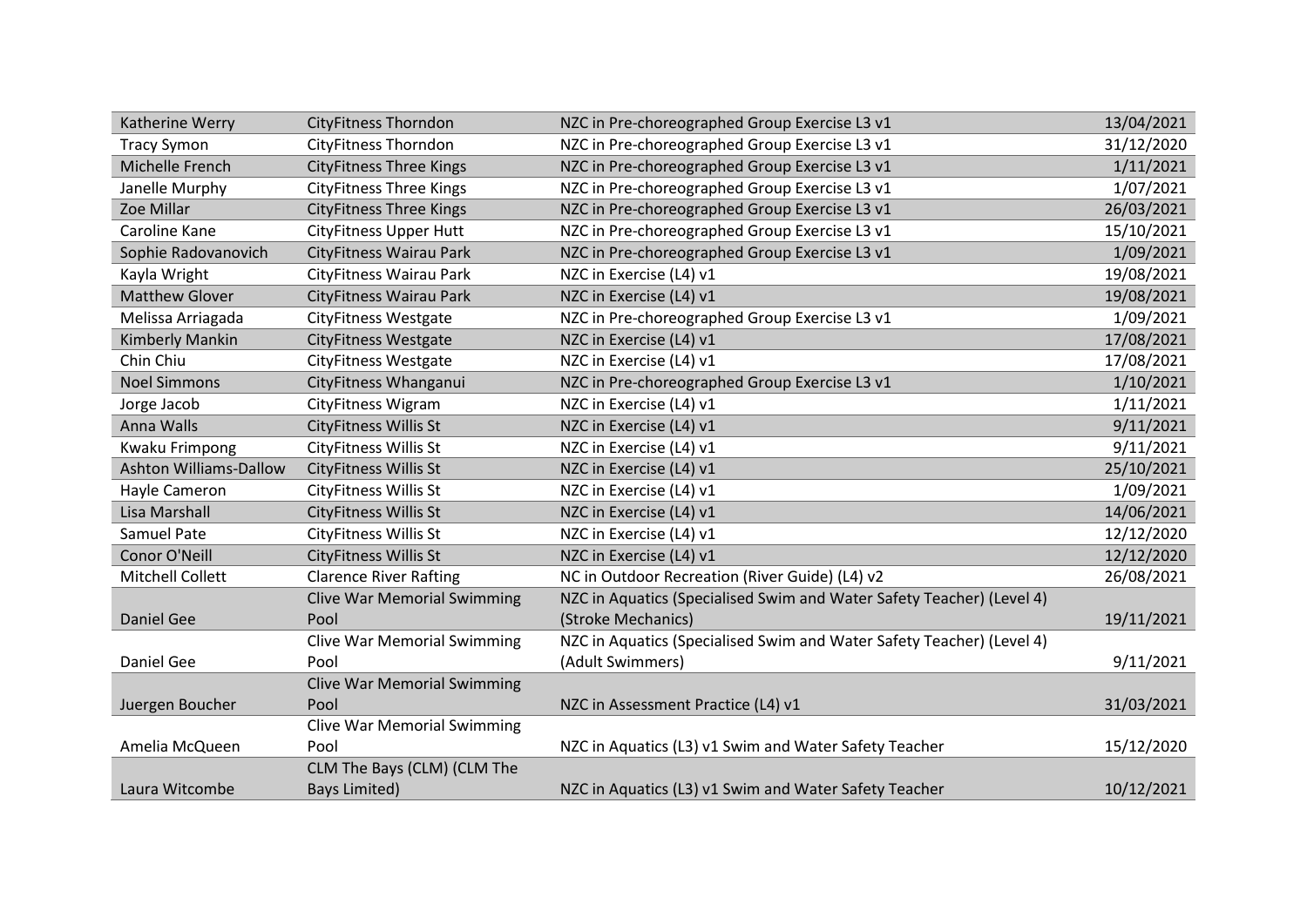| Katherine Werry               | <b>CityFitness Thorndon</b>        | NZC in Pre-choreographed Group Exercise L3 v1                         | 13/04/2021 |
|-------------------------------|------------------------------------|-----------------------------------------------------------------------|------------|
| <b>Tracy Symon</b>            | <b>CityFitness Thorndon</b>        | NZC in Pre-choreographed Group Exercise L3 v1                         | 31/12/2020 |
| Michelle French               | <b>CityFitness Three Kings</b>     | NZC in Pre-choreographed Group Exercise L3 v1                         | 1/11/2021  |
| Janelle Murphy                | <b>CityFitness Three Kings</b>     | NZC in Pre-choreographed Group Exercise L3 v1                         | 1/07/2021  |
| Zoe Millar                    | <b>CityFitness Three Kings</b>     | NZC in Pre-choreographed Group Exercise L3 v1                         | 26/03/2021 |
| Caroline Kane                 | <b>CityFitness Upper Hutt</b>      | NZC in Pre-choreographed Group Exercise L3 v1                         | 15/10/2021 |
| Sophie Radovanovich           | CityFitness Wairau Park            | NZC in Pre-choreographed Group Exercise L3 v1                         | 1/09/2021  |
| Kayla Wright                  | CityFitness Wairau Park            | NZC in Exercise (L4) v1                                               | 19/08/2021 |
| <b>Matthew Glover</b>         | CityFitness Wairau Park            | NZC in Exercise (L4) v1                                               | 19/08/2021 |
| Melissa Arriagada             | <b>CityFitness Westgate</b>        | NZC in Pre-choreographed Group Exercise L3 v1                         | 1/09/2021  |
| Kimberly Mankin               | <b>CityFitness Westgate</b>        | NZC in Exercise (L4) v1                                               | 17/08/2021 |
| Chin Chiu                     | <b>CityFitness Westgate</b>        | NZC in Exercise (L4) v1                                               | 17/08/2021 |
| <b>Noel Simmons</b>           | CityFitness Whanganui              | NZC in Pre-choreographed Group Exercise L3 v1                         | 1/10/2021  |
| Jorge Jacob                   | <b>CityFitness Wigram</b>          | NZC in Exercise (L4) v1                                               | 1/11/2021  |
| Anna Walls                    | CityFitness Willis St              | NZC in Exercise (L4) v1                                               | 9/11/2021  |
| Kwaku Frimpong                | CityFitness Willis St              | NZC in Exercise (L4) v1                                               | 9/11/2021  |
| <b>Ashton Williams-Dallow</b> | <b>CityFitness Willis St</b>       | NZC in Exercise (L4) v1                                               | 25/10/2021 |
| Hayle Cameron                 | <b>CityFitness Willis St</b>       | NZC in Exercise (L4) v1                                               | 1/09/2021  |
| Lisa Marshall                 | CityFitness Willis St              | NZC in Exercise (L4) v1                                               | 14/06/2021 |
| <b>Samuel Pate</b>            | <b>CityFitness Willis St</b>       | NZC in Exercise (L4) v1                                               | 12/12/2020 |
| Conor O'Neill                 | CityFitness Willis St              | NZC in Exercise (L4) v1                                               | 12/12/2020 |
| Mitchell Collett              | <b>Clarence River Rafting</b>      | NC in Outdoor Recreation (River Guide) (L4) v2                        | 26/08/2021 |
|                               | <b>Clive War Memorial Swimming</b> | NZC in Aquatics (Specialised Swim and Water Safety Teacher) (Level 4) |            |
| <b>Daniel Gee</b>             | Pool                               | (Stroke Mechanics)                                                    | 19/11/2021 |
|                               | <b>Clive War Memorial Swimming</b> | NZC in Aquatics (Specialised Swim and Water Safety Teacher) (Level 4) |            |
| Daniel Gee                    | Pool                               | (Adult Swimmers)                                                      | 9/11/2021  |
|                               | <b>Clive War Memorial Swimming</b> |                                                                       |            |
| Juergen Boucher               | Pool                               | NZC in Assessment Practice (L4) v1                                    | 31/03/2021 |
|                               | <b>Clive War Memorial Swimming</b> |                                                                       |            |
| Amelia McQueen                | Pool                               | NZC in Aquatics (L3) v1 Swim and Water Safety Teacher                 | 15/12/2020 |
|                               | CLM The Bays (CLM) (CLM The        |                                                                       |            |
| Laura Witcombe                | Bays Limited)                      | NZC in Aquatics (L3) v1 Swim and Water Safety Teacher                 | 10/12/2021 |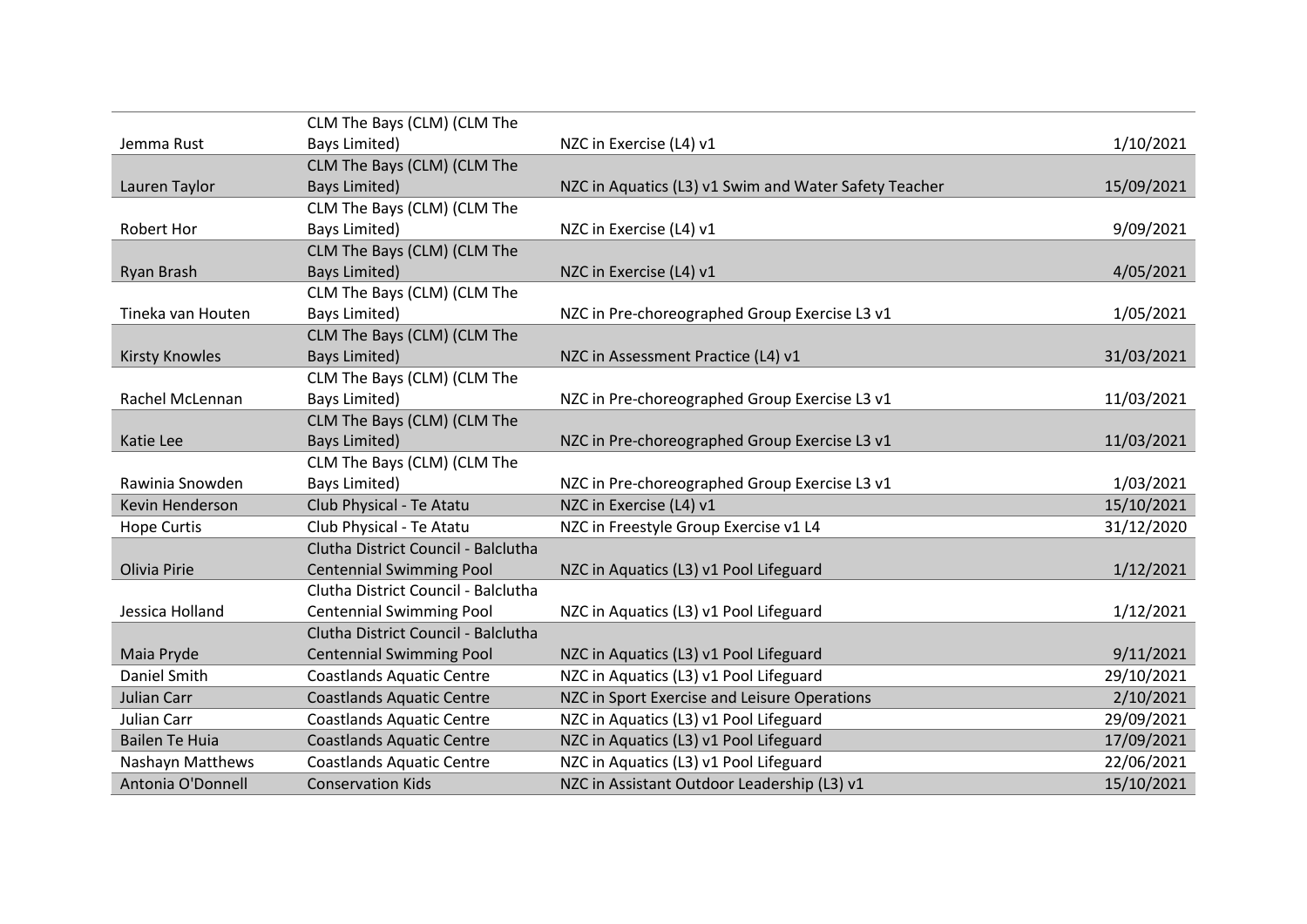|                       | CLM The Bays (CLM) (CLM The         |                                                       |            |
|-----------------------|-------------------------------------|-------------------------------------------------------|------------|
| Jemma Rust            | Bays Limited)                       | NZC in Exercise (L4) v1                               | 1/10/2021  |
|                       | CLM The Bays (CLM) (CLM The         |                                                       |            |
| Lauren Taylor         | <b>Bays Limited)</b>                | NZC in Aquatics (L3) v1 Swim and Water Safety Teacher | 15/09/2021 |
|                       | CLM The Bays (CLM) (CLM The         |                                                       |            |
| <b>Robert Hor</b>     | Bays Limited)                       | NZC in Exercise (L4) v1                               | 9/09/2021  |
|                       | CLM The Bays (CLM) (CLM The         |                                                       |            |
| Ryan Brash            | <b>Bays Limited)</b>                | NZC in Exercise (L4) v1                               | 4/05/2021  |
|                       | CLM The Bays (CLM) (CLM The         |                                                       |            |
| Tineka van Houten     | Bays Limited)                       | NZC in Pre-choreographed Group Exercise L3 v1         | 1/05/2021  |
|                       | CLM The Bays (CLM) (CLM The         |                                                       |            |
| <b>Kirsty Knowles</b> | <b>Bays Limited)</b>                | NZC in Assessment Practice (L4) v1                    | 31/03/2021 |
|                       | CLM The Bays (CLM) (CLM The         |                                                       |            |
| Rachel McLennan       | Bays Limited)                       | NZC in Pre-choreographed Group Exercise L3 v1         | 11/03/2021 |
|                       | CLM The Bays (CLM) (CLM The         |                                                       |            |
| Katie Lee             | <b>Bays Limited)</b>                | NZC in Pre-choreographed Group Exercise L3 v1         | 11/03/2021 |
|                       | CLM The Bays (CLM) (CLM The         |                                                       |            |
| Rawinia Snowden       | Bays Limited)                       | NZC in Pre-choreographed Group Exercise L3 v1         | 1/03/2021  |
| Kevin Henderson       | Club Physical - Te Atatu            | NZC in Exercise (L4) v1                               | 15/10/2021 |
| <b>Hope Curtis</b>    | Club Physical - Te Atatu            | NZC in Freestyle Group Exercise v1 L4                 | 31/12/2020 |
|                       | Clutha District Council - Balclutha |                                                       |            |
| Olivia Pirie          | <b>Centennial Swimming Pool</b>     | NZC in Aquatics (L3) v1 Pool Lifeguard                | 1/12/2021  |
|                       | Clutha District Council - Balclutha |                                                       |            |
| Jessica Holland       | <b>Centennial Swimming Pool</b>     | NZC in Aquatics (L3) v1 Pool Lifeguard                | 1/12/2021  |
|                       | Clutha District Council - Balclutha |                                                       |            |
| Maia Pryde            | <b>Centennial Swimming Pool</b>     | NZC in Aquatics (L3) v1 Pool Lifeguard                | 9/11/2021  |
| Daniel Smith          | <b>Coastlands Aquatic Centre</b>    | NZC in Aquatics (L3) v1 Pool Lifeguard                | 29/10/2021 |
| Julian Carr           | <b>Coastlands Aquatic Centre</b>    | NZC in Sport Exercise and Leisure Operations          | 2/10/2021  |
| Julian Carr           | <b>Coastlands Aquatic Centre</b>    | NZC in Aquatics (L3) v1 Pool Lifeguard                | 29/09/2021 |
| <b>Bailen Te Huia</b> | <b>Coastlands Aquatic Centre</b>    | NZC in Aquatics (L3) v1 Pool Lifeguard                | 17/09/2021 |
| Nashayn Matthews      | <b>Coastlands Aquatic Centre</b>    | NZC in Aquatics (L3) v1 Pool Lifeguard                | 22/06/2021 |
| Antonia O'Donnell     | <b>Conservation Kids</b>            | NZC in Assistant Outdoor Leadership (L3) v1           | 15/10/2021 |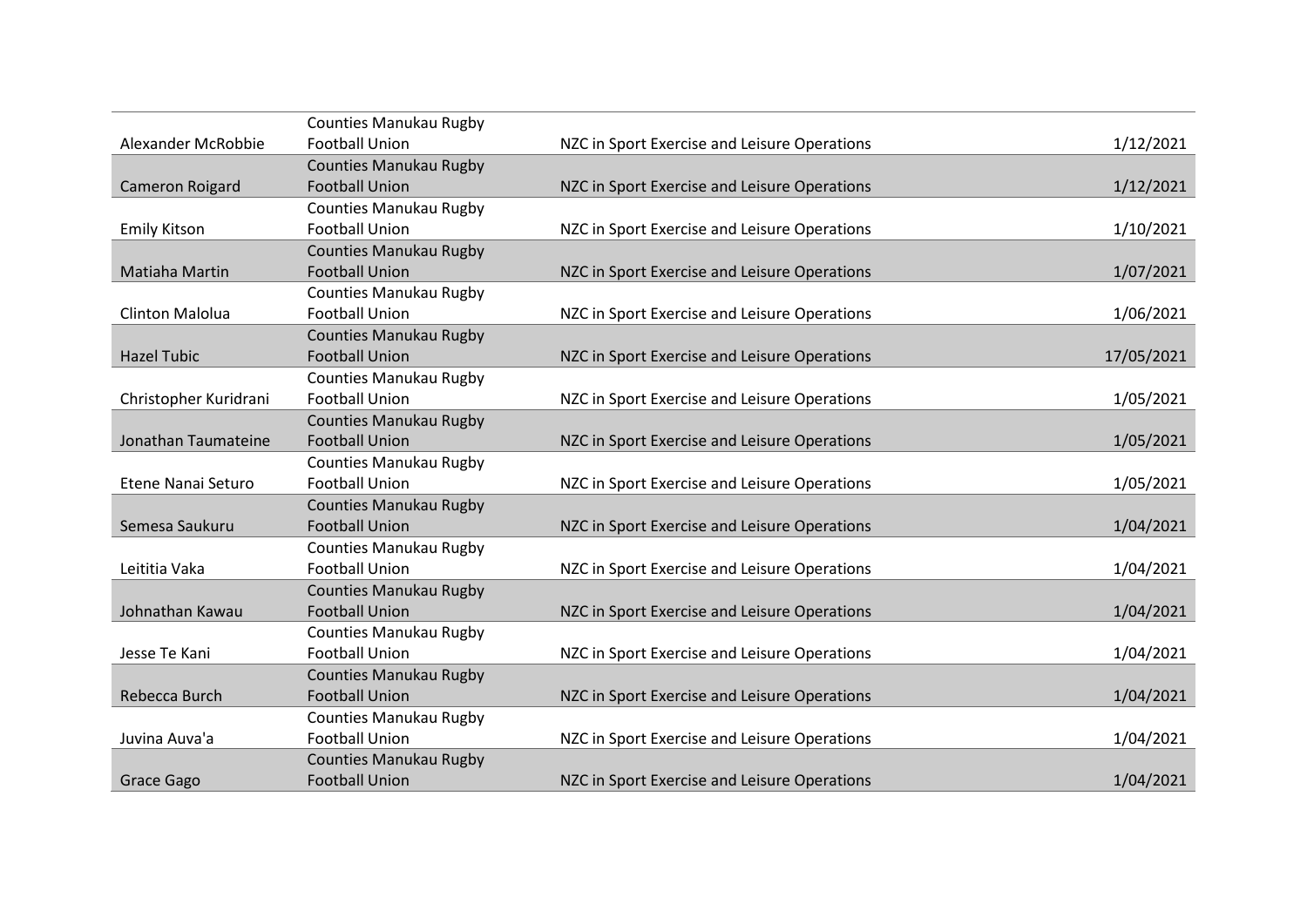|                       | <b>Counties Manukau Rugby</b> |                                              |            |
|-----------------------|-------------------------------|----------------------------------------------|------------|
| Alexander McRobbie    | <b>Football Union</b>         | NZC in Sport Exercise and Leisure Operations | 1/12/2021  |
|                       | <b>Counties Manukau Rugby</b> |                                              |            |
| Cameron Roigard       | <b>Football Union</b>         | NZC in Sport Exercise and Leisure Operations | 1/12/2021  |
|                       | <b>Counties Manukau Rugby</b> |                                              |            |
| <b>Emily Kitson</b>   | <b>Football Union</b>         | NZC in Sport Exercise and Leisure Operations | 1/10/2021  |
|                       | <b>Counties Manukau Rugby</b> |                                              |            |
| Matiaha Martin        | <b>Football Union</b>         | NZC in Sport Exercise and Leisure Operations | 1/07/2021  |
|                       | <b>Counties Manukau Rugby</b> |                                              |            |
| Clinton Malolua       | <b>Football Union</b>         | NZC in Sport Exercise and Leisure Operations | 1/06/2021  |
|                       | <b>Counties Manukau Rugby</b> |                                              |            |
| <b>Hazel Tubic</b>    | <b>Football Union</b>         | NZC in Sport Exercise and Leisure Operations | 17/05/2021 |
|                       | <b>Counties Manukau Rugby</b> |                                              |            |
| Christopher Kuridrani | <b>Football Union</b>         | NZC in Sport Exercise and Leisure Operations | 1/05/2021  |
|                       | <b>Counties Manukau Rugby</b> |                                              |            |
| Jonathan Taumateine   | <b>Football Union</b>         | NZC in Sport Exercise and Leisure Operations | 1/05/2021  |
|                       | <b>Counties Manukau Rugby</b> |                                              |            |
| Etene Nanai Seturo    | <b>Football Union</b>         | NZC in Sport Exercise and Leisure Operations | 1/05/2021  |
|                       | <b>Counties Manukau Rugby</b> |                                              |            |
| Semesa Saukuru        | <b>Football Union</b>         | NZC in Sport Exercise and Leisure Operations | 1/04/2021  |
|                       | <b>Counties Manukau Rugby</b> |                                              |            |
| Leititia Vaka         | <b>Football Union</b>         | NZC in Sport Exercise and Leisure Operations | 1/04/2021  |
|                       | <b>Counties Manukau Rugby</b> |                                              |            |
| Johnathan Kawau       | <b>Football Union</b>         | NZC in Sport Exercise and Leisure Operations | 1/04/2021  |
|                       | <b>Counties Manukau Rugby</b> |                                              |            |
| Jesse Te Kani         | <b>Football Union</b>         | NZC in Sport Exercise and Leisure Operations | 1/04/2021  |
|                       | <b>Counties Manukau Rugby</b> |                                              |            |
| Rebecca Burch         | <b>Football Union</b>         | NZC in Sport Exercise and Leisure Operations | 1/04/2021  |
|                       | <b>Counties Manukau Rugby</b> |                                              |            |
| Juvina Auva'a         | <b>Football Union</b>         | NZC in Sport Exercise and Leisure Operations | 1/04/2021  |
|                       | <b>Counties Manukau Rugby</b> |                                              |            |
| Grace Gago            | <b>Football Union</b>         | NZC in Sport Exercise and Leisure Operations | 1/04/2021  |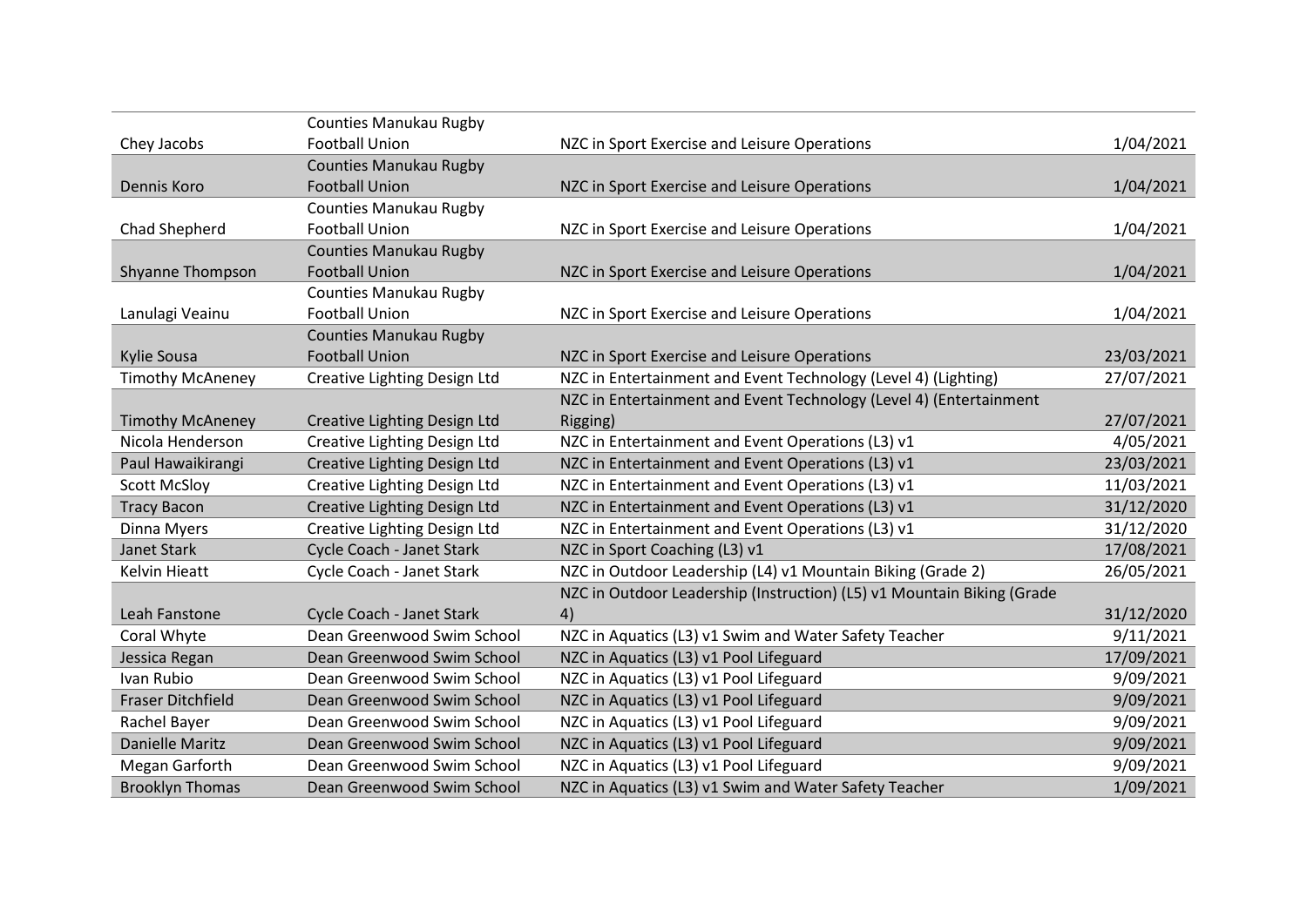|                          | Counties Manukau Rugby              |                                                                        |            |
|--------------------------|-------------------------------------|------------------------------------------------------------------------|------------|
| Chey Jacobs              | <b>Football Union</b>               | NZC in Sport Exercise and Leisure Operations                           | 1/04/2021  |
|                          | <b>Counties Manukau Rugby</b>       |                                                                        |            |
| Dennis Koro              | <b>Football Union</b>               | NZC in Sport Exercise and Leisure Operations                           | 1/04/2021  |
|                          | <b>Counties Manukau Rugby</b>       |                                                                        |            |
| Chad Shepherd            | <b>Football Union</b>               | NZC in Sport Exercise and Leisure Operations                           | 1/04/2021  |
|                          | <b>Counties Manukau Rugby</b>       |                                                                        |            |
| Shyanne Thompson         | <b>Football Union</b>               | NZC in Sport Exercise and Leisure Operations                           | 1/04/2021  |
|                          | <b>Counties Manukau Rugby</b>       |                                                                        |            |
| Lanulagi Veainu          | <b>Football Union</b>               | NZC in Sport Exercise and Leisure Operations                           | 1/04/2021  |
|                          | <b>Counties Manukau Rugby</b>       |                                                                        |            |
| Kylie Sousa              | <b>Football Union</b>               | NZC in Sport Exercise and Leisure Operations                           | 23/03/2021 |
| <b>Timothy McAneney</b>  | <b>Creative Lighting Design Ltd</b> | NZC in Entertainment and Event Technology (Level 4) (Lighting)         | 27/07/2021 |
|                          |                                     | NZC in Entertainment and Event Technology (Level 4) (Entertainment     |            |
| <b>Timothy McAneney</b>  | Creative Lighting Design Ltd        | Rigging)                                                               | 27/07/2021 |
| Nicola Henderson         | Creative Lighting Design Ltd        | NZC in Entertainment and Event Operations (L3) v1                      | 4/05/2021  |
| Paul Hawaikirangi        | Creative Lighting Design Ltd        | NZC in Entertainment and Event Operations (L3) v1                      | 23/03/2021 |
| <b>Scott McSloy</b>      | Creative Lighting Design Ltd        | NZC in Entertainment and Event Operations (L3) v1                      | 11/03/2021 |
| <b>Tracy Bacon</b>       | Creative Lighting Design Ltd        | NZC in Entertainment and Event Operations (L3) v1                      | 31/12/2020 |
| Dinna Myers              | Creative Lighting Design Ltd        | NZC in Entertainment and Event Operations (L3) v1                      | 31/12/2020 |
| <b>Janet Stark</b>       | Cycle Coach - Janet Stark           | NZC in Sport Coaching (L3) v1                                          | 17/08/2021 |
| Kelvin Hieatt            | Cycle Coach - Janet Stark           | NZC in Outdoor Leadership (L4) v1 Mountain Biking (Grade 2)            | 26/05/2021 |
|                          |                                     | NZC in Outdoor Leadership (Instruction) (L5) v1 Mountain Biking (Grade |            |
| Leah Fanstone            | Cycle Coach - Janet Stark           | 4)                                                                     | 31/12/2020 |
| Coral Whyte              | Dean Greenwood Swim School          | NZC in Aquatics (L3) v1 Swim and Water Safety Teacher                  | 9/11/2021  |
| Jessica Regan            | Dean Greenwood Swim School          | NZC in Aquatics (L3) v1 Pool Lifeguard                                 | 17/09/2021 |
| Ivan Rubio               | Dean Greenwood Swim School          | NZC in Aquatics (L3) v1 Pool Lifeguard                                 | 9/09/2021  |
| <b>Fraser Ditchfield</b> | Dean Greenwood Swim School          | NZC in Aquatics (L3) v1 Pool Lifeguard                                 | 9/09/2021  |
| Rachel Bayer             | Dean Greenwood Swim School          | NZC in Aquatics (L3) v1 Pool Lifeguard                                 | 9/09/2021  |
| <b>Danielle Maritz</b>   | Dean Greenwood Swim School          | NZC in Aquatics (L3) v1 Pool Lifeguard                                 | 9/09/2021  |
| Megan Garforth           | Dean Greenwood Swim School          | NZC in Aquatics (L3) v1 Pool Lifeguard                                 | 9/09/2021  |
| <b>Brooklyn Thomas</b>   | Dean Greenwood Swim School          | NZC in Aquatics (L3) v1 Swim and Water Safety Teacher                  | 1/09/2021  |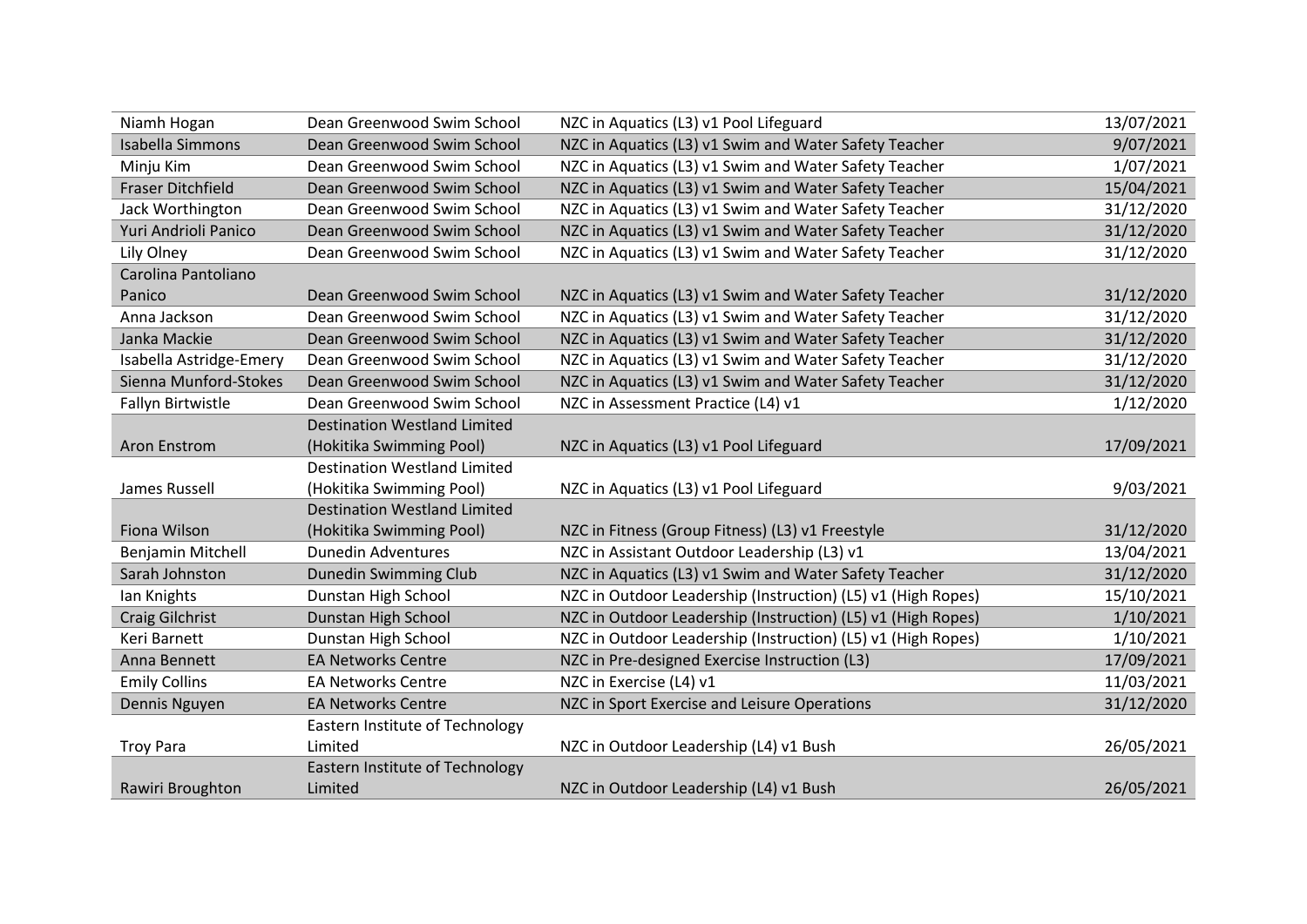| Niamh Hogan              | Dean Greenwood Swim School          | NZC in Aquatics (L3) v1 Pool Lifeguard                       | 13/07/2021 |
|--------------------------|-------------------------------------|--------------------------------------------------------------|------------|
| <b>Isabella Simmons</b>  | Dean Greenwood Swim School          | NZC in Aquatics (L3) v1 Swim and Water Safety Teacher        | 9/07/2021  |
| Minju Kim                | Dean Greenwood Swim School          | NZC in Aquatics (L3) v1 Swim and Water Safety Teacher        | 1/07/2021  |
| <b>Fraser Ditchfield</b> | Dean Greenwood Swim School          | NZC in Aquatics (L3) v1 Swim and Water Safety Teacher        | 15/04/2021 |
| Jack Worthington         | Dean Greenwood Swim School          | NZC in Aquatics (L3) v1 Swim and Water Safety Teacher        | 31/12/2020 |
| Yuri Andrioli Panico     | Dean Greenwood Swim School          | NZC in Aquatics (L3) v1 Swim and Water Safety Teacher        | 31/12/2020 |
| Lily Olney               | Dean Greenwood Swim School          | NZC in Aquatics (L3) v1 Swim and Water Safety Teacher        | 31/12/2020 |
| Carolina Pantoliano      |                                     |                                                              |            |
| Panico                   | Dean Greenwood Swim School          | NZC in Aquatics (L3) v1 Swim and Water Safety Teacher        | 31/12/2020 |
| Anna Jackson             | Dean Greenwood Swim School          | NZC in Aquatics (L3) v1 Swim and Water Safety Teacher        | 31/12/2020 |
| Janka Mackie             | Dean Greenwood Swim School          | NZC in Aquatics (L3) v1 Swim and Water Safety Teacher        | 31/12/2020 |
| Isabella Astridge-Emery  | Dean Greenwood Swim School          | NZC in Aquatics (L3) v1 Swim and Water Safety Teacher        | 31/12/2020 |
| Sienna Munford-Stokes    | Dean Greenwood Swim School          | NZC in Aquatics (L3) v1 Swim and Water Safety Teacher        | 31/12/2020 |
| Fallyn Birtwistle        | Dean Greenwood Swim School          | NZC in Assessment Practice (L4) v1                           | 1/12/2020  |
|                          | <b>Destination Westland Limited</b> |                                                              |            |
| <b>Aron Enstrom</b>      | (Hokitika Swimming Pool)            | NZC in Aquatics (L3) v1 Pool Lifeguard                       | 17/09/2021 |
|                          | <b>Destination Westland Limited</b> |                                                              |            |
| James Russell            | (Hokitika Swimming Pool)            | NZC in Aquatics (L3) v1 Pool Lifeguard                       | 9/03/2021  |
|                          | <b>Destination Westland Limited</b> |                                                              |            |
| Fiona Wilson             | (Hokitika Swimming Pool)            | NZC in Fitness (Group Fitness) (L3) v1 Freestyle             | 31/12/2020 |
| Benjamin Mitchell        | <b>Dunedin Adventures</b>           | NZC in Assistant Outdoor Leadership (L3) v1                  | 13/04/2021 |
| Sarah Johnston           | Dunedin Swimming Club               | NZC in Aquatics (L3) v1 Swim and Water Safety Teacher        | 31/12/2020 |
| lan Knights              | Dunstan High School                 | NZC in Outdoor Leadership (Instruction) (L5) v1 (High Ropes) | 15/10/2021 |
| <b>Craig Gilchrist</b>   | Dunstan High School                 | NZC in Outdoor Leadership (Instruction) (L5) v1 (High Ropes) | 1/10/2021  |
| Keri Barnett             | Dunstan High School                 | NZC in Outdoor Leadership (Instruction) (L5) v1 (High Ropes) | 1/10/2021  |
| Anna Bennett             | <b>EA Networks Centre</b>           | NZC in Pre-designed Exercise Instruction (L3)                | 17/09/2021 |
| <b>Emily Collins</b>     | <b>EA Networks Centre</b>           | NZC in Exercise (L4) v1                                      | 11/03/2021 |
| Dennis Nguyen            | <b>EA Networks Centre</b>           | NZC in Sport Exercise and Leisure Operations                 | 31/12/2020 |
|                          | Eastern Institute of Technology     |                                                              |            |
| <b>Troy Para</b>         | Limited                             | NZC in Outdoor Leadership (L4) v1 Bush                       | 26/05/2021 |
|                          | Eastern Institute of Technology     |                                                              |            |
| Rawiri Broughton         | Limited                             | NZC in Outdoor Leadership (L4) v1 Bush                       | 26/05/2021 |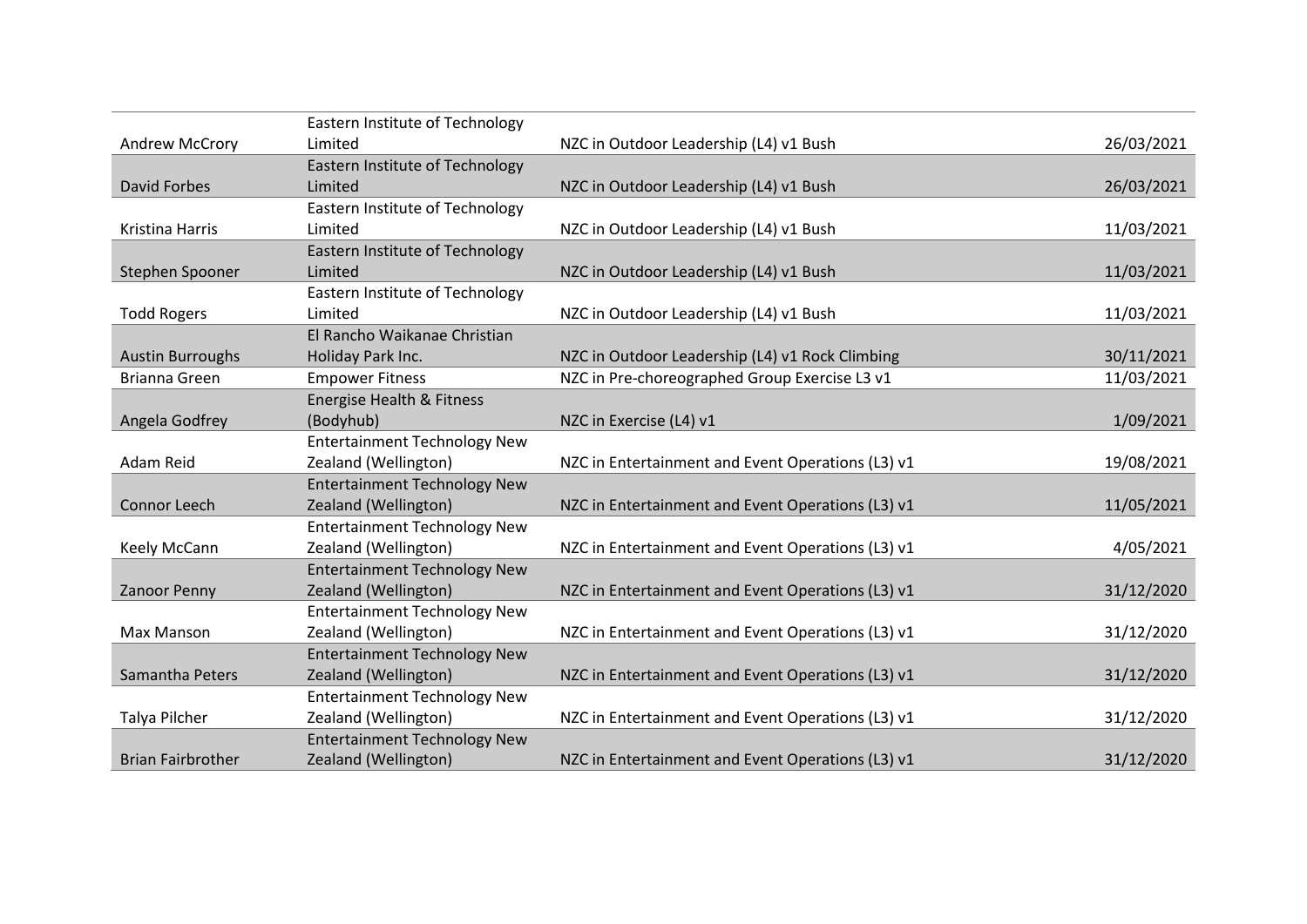|                          | Eastern Institute of Technology     |                                                   |            |
|--------------------------|-------------------------------------|---------------------------------------------------|------------|
| <b>Andrew McCrory</b>    | Limited                             | NZC in Outdoor Leadership (L4) v1 Bush            | 26/03/2021 |
|                          | Eastern Institute of Technology     |                                                   |            |
| <b>David Forbes</b>      | Limited                             | NZC in Outdoor Leadership (L4) v1 Bush            | 26/03/2021 |
|                          | Eastern Institute of Technology     |                                                   |            |
| Kristina Harris          | Limited                             | NZC in Outdoor Leadership (L4) v1 Bush            | 11/03/2021 |
|                          | Eastern Institute of Technology     |                                                   |            |
| Stephen Spooner          | Limited                             | NZC in Outdoor Leadership (L4) v1 Bush            | 11/03/2021 |
|                          | Eastern Institute of Technology     |                                                   |            |
| <b>Todd Rogers</b>       | Limited                             | NZC in Outdoor Leadership (L4) v1 Bush            | 11/03/2021 |
|                          | El Rancho Waikanae Christian        |                                                   |            |
| <b>Austin Burroughs</b>  | Holiday Park Inc.                   | NZC in Outdoor Leadership (L4) v1 Rock Climbing   | 30/11/2021 |
| <b>Brianna Green</b>     | <b>Empower Fitness</b>              | NZC in Pre-choreographed Group Exercise L3 v1     | 11/03/2021 |
|                          | Energise Health & Fitness           |                                                   |            |
| Angela Godfrey           | (Bodyhub)                           | NZC in Exercise (L4) v1                           | 1/09/2021  |
|                          | <b>Entertainment Technology New</b> |                                                   |            |
| Adam Reid                | Zealand (Wellington)                | NZC in Entertainment and Event Operations (L3) v1 | 19/08/2021 |
|                          | <b>Entertainment Technology New</b> |                                                   |            |
| Connor Leech             | Zealand (Wellington)                | NZC in Entertainment and Event Operations (L3) v1 | 11/05/2021 |
|                          | <b>Entertainment Technology New</b> |                                                   |            |
| Keely McCann             | Zealand (Wellington)                | NZC in Entertainment and Event Operations (L3) v1 | 4/05/2021  |
|                          | <b>Entertainment Technology New</b> |                                                   |            |
| <b>Zanoor Penny</b>      | Zealand (Wellington)                | NZC in Entertainment and Event Operations (L3) v1 | 31/12/2020 |
|                          | <b>Entertainment Technology New</b> |                                                   |            |
| Max Manson               | Zealand (Wellington)                | NZC in Entertainment and Event Operations (L3) v1 | 31/12/2020 |
|                          | <b>Entertainment Technology New</b> |                                                   |            |
| Samantha Peters          | Zealand (Wellington)                | NZC in Entertainment and Event Operations (L3) v1 | 31/12/2020 |
|                          | <b>Entertainment Technology New</b> |                                                   |            |
| Talya Pilcher            | Zealand (Wellington)                | NZC in Entertainment and Event Operations (L3) v1 | 31/12/2020 |
|                          | <b>Entertainment Technology New</b> |                                                   |            |
| <b>Brian Fairbrother</b> | Zealand (Wellington)                | NZC in Entertainment and Event Operations (L3) v1 | 31/12/2020 |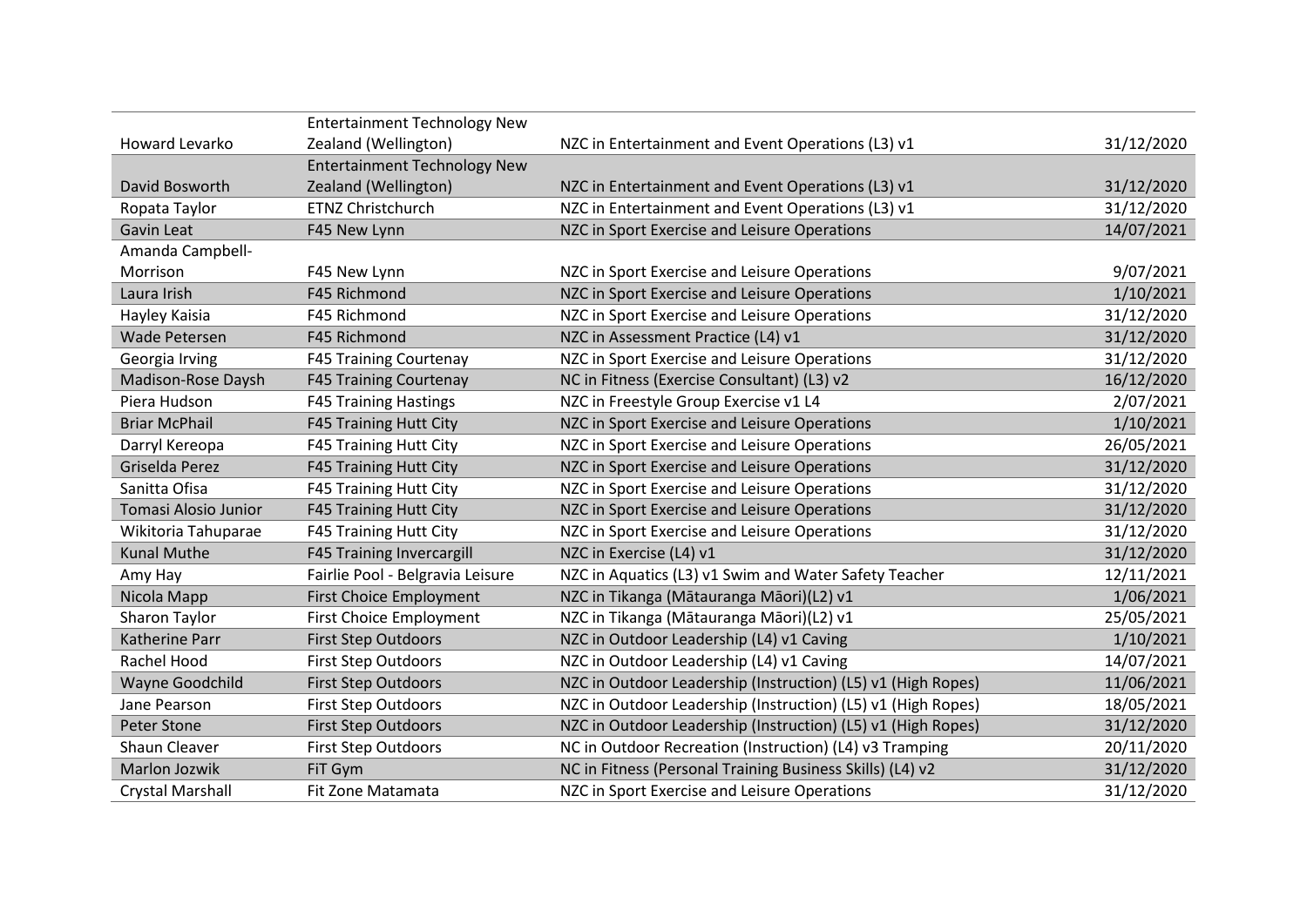|                       | <b>Entertainment Technology New</b> |                                                              |            |
|-----------------------|-------------------------------------|--------------------------------------------------------------|------------|
| Howard Levarko        | Zealand (Wellington)                | NZC in Entertainment and Event Operations (L3) v1            | 31/12/2020 |
|                       | <b>Entertainment Technology New</b> |                                                              |            |
| David Bosworth        | Zealand (Wellington)                | NZC in Entertainment and Event Operations (L3) v1            | 31/12/2020 |
| Ropata Taylor         | <b>ETNZ Christchurch</b>            | NZC in Entertainment and Event Operations (L3) v1            | 31/12/2020 |
| <b>Gavin Leat</b>     | F45 New Lynn                        | NZC in Sport Exercise and Leisure Operations                 | 14/07/2021 |
| Amanda Campbell-      |                                     |                                                              |            |
| Morrison              | F45 New Lynn                        | NZC in Sport Exercise and Leisure Operations                 | 9/07/2021  |
| Laura Irish           | F45 Richmond                        | NZC in Sport Exercise and Leisure Operations                 | 1/10/2021  |
| Hayley Kaisia         | F45 Richmond                        | NZC in Sport Exercise and Leisure Operations                 | 31/12/2020 |
| <b>Wade Petersen</b>  | F45 Richmond                        | NZC in Assessment Practice (L4) v1                           | 31/12/2020 |
| Georgia Irving        | <b>F45 Training Courtenay</b>       | NZC in Sport Exercise and Leisure Operations                 | 31/12/2020 |
| Madison-Rose Daysh    | <b>F45 Training Courtenay</b>       | NC in Fitness (Exercise Consultant) (L3) v2                  | 16/12/2020 |
| Piera Hudson          | <b>F45 Training Hastings</b>        | NZC in Freestyle Group Exercise v1 L4                        | 2/07/2021  |
| <b>Briar McPhail</b>  | F45 Training Hutt City              | NZC in Sport Exercise and Leisure Operations                 | 1/10/2021  |
| Darryl Kereopa        | <b>F45 Training Hutt City</b>       | NZC in Sport Exercise and Leisure Operations                 | 26/05/2021 |
| Griselda Perez        | <b>F45 Training Hutt City</b>       | NZC in Sport Exercise and Leisure Operations                 | 31/12/2020 |
| Sanitta Ofisa         | F45 Training Hutt City              | NZC in Sport Exercise and Leisure Operations                 | 31/12/2020 |
| Tomasi Alosio Junior  | <b>F45 Training Hutt City</b>       | NZC in Sport Exercise and Leisure Operations                 | 31/12/2020 |
| Wikitoria Tahuparae   | <b>F45 Training Hutt City</b>       | NZC in Sport Exercise and Leisure Operations                 | 31/12/2020 |
| <b>Kunal Muthe</b>    | <b>F45 Training Invercargill</b>    | NZC in Exercise (L4) v1                                      | 31/12/2020 |
| Amy Hay               | Fairlie Pool - Belgravia Leisure    | NZC in Aquatics (L3) v1 Swim and Water Safety Teacher        | 12/11/2021 |
| Nicola Mapp           | <b>First Choice Employment</b>      | NZC in Tikanga (Mātauranga Māori)(L2) v1                     | 1/06/2021  |
| Sharon Taylor         | <b>First Choice Employment</b>      | NZC in Tikanga (Mātauranga Māori)(L2) v1                     | 25/05/2021 |
| <b>Katherine Parr</b> | <b>First Step Outdoors</b>          | NZC in Outdoor Leadership (L4) v1 Caving                     | 1/10/2021  |
| Rachel Hood           | <b>First Step Outdoors</b>          | NZC in Outdoor Leadership (L4) v1 Caving                     | 14/07/2021 |
| Wayne Goodchild       | <b>First Step Outdoors</b>          | NZC in Outdoor Leadership (Instruction) (L5) v1 (High Ropes) | 11/06/2021 |
| Jane Pearson          | <b>First Step Outdoors</b>          | NZC in Outdoor Leadership (Instruction) (L5) v1 (High Ropes) | 18/05/2021 |
| Peter Stone           | <b>First Step Outdoors</b>          | NZC in Outdoor Leadership (Instruction) (L5) v1 (High Ropes) | 31/12/2020 |
| Shaun Cleaver         | <b>First Step Outdoors</b>          | NC in Outdoor Recreation (Instruction) (L4) v3 Tramping      | 20/11/2020 |
| <b>Marlon Jozwik</b>  | FiT Gym                             | NC in Fitness (Personal Training Business Skills) (L4) v2    | 31/12/2020 |
| Crystal Marshall      | Fit Zone Matamata                   | NZC in Sport Exercise and Leisure Operations                 | 31/12/2020 |